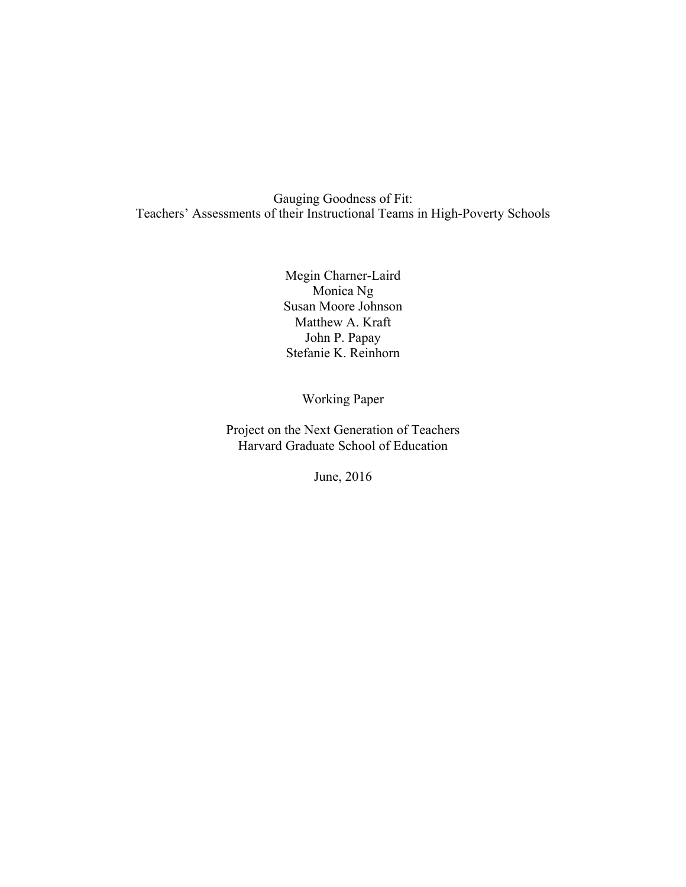Gauging Goodness of Fit: Teachers' Assessments of their Instructional Teams in High-Poverty Schools

> Megin Charner-Laird Monica Ng Susan Moore Johnson Matthew A. Kraft John P. Papay Stefanie K. Reinhorn

> > Working Paper

Project on the Next Generation of Teachers Harvard Graduate School of Education

June, 2016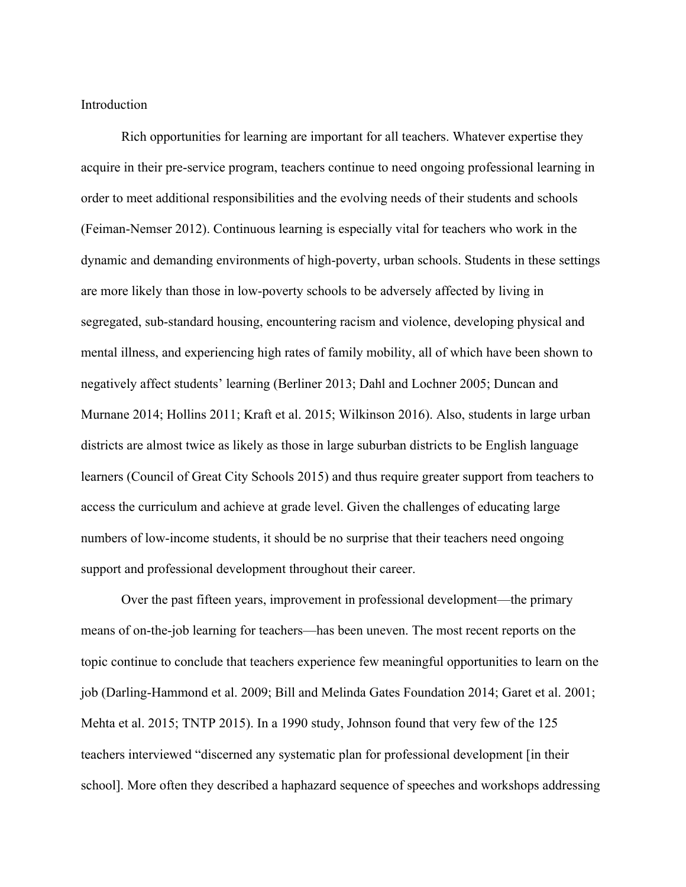Introduction

Rich opportunities for learning are important for all teachers. Whatever expertise they acquire in their pre-service program, teachers continue to need ongoing professional learning in order to meet additional responsibilities and the evolving needs of their students and schools (Feiman-Nemser 2012). Continuous learning is especially vital for teachers who work in the dynamic and demanding environments of high-poverty, urban schools. Students in these settings are more likely than those in low-poverty schools to be adversely affected by living in segregated, sub-standard housing, encountering racism and violence, developing physical and mental illness, and experiencing high rates of family mobility, all of which have been shown to negatively affect students' learning (Berliner 2013; Dahl and Lochner 2005; Duncan and Murnane 2014; Hollins 2011; Kraft et al. 2015; Wilkinson 2016). Also, students in large urban districts are almost twice as likely as those in large suburban districts to be English language learners (Council of Great City Schools 2015) and thus require greater support from teachers to access the curriculum and achieve at grade level. Given the challenges of educating large numbers of low-income students, it should be no surprise that their teachers need ongoing support and professional development throughout their career.

Over the past fifteen years, improvement in professional development—the primary means of on-the-job learning for teachers—has been uneven. The most recent reports on the topic continue to conclude that teachers experience few meaningful opportunities to learn on the job (Darling-Hammond et al. 2009; Bill and Melinda Gates Foundation 2014; Garet et al. 2001; Mehta et al. 2015; TNTP 2015). In a 1990 study, Johnson found that very few of the 125 teachers interviewed "discerned any systematic plan for professional development [in their school]. More often they described a haphazard sequence of speeches and workshops addressing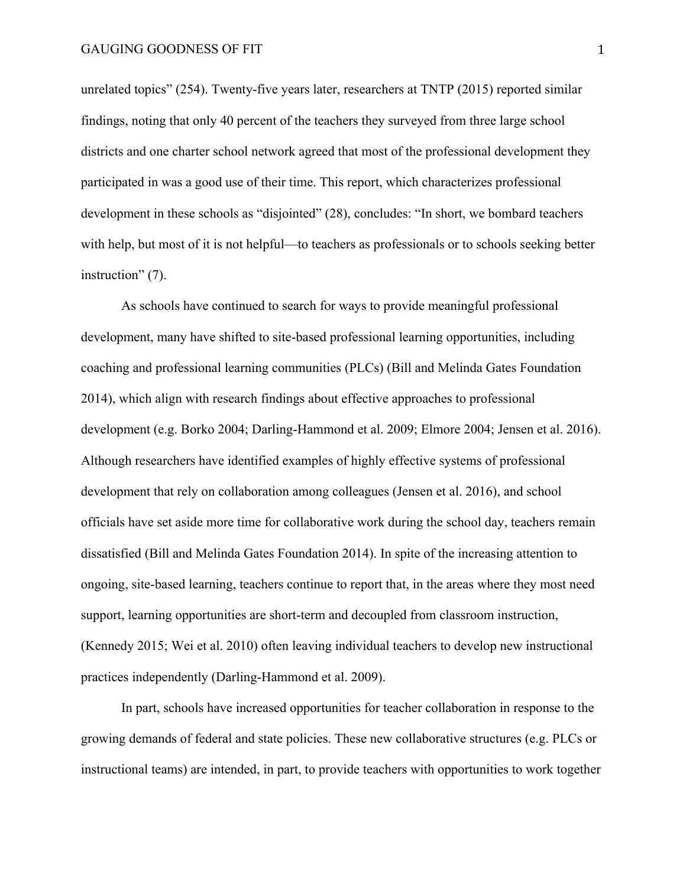unrelated topics" (254). Twenty-five years later, researchers at TNTP (2015) reported similar findings, noting that only 40 percent of the teachers they surveyed from three large school districts and one charter school network agreed that most of the professional development they participated in was a good use of their time. This report, which characterizes professional development in these schools as "disjointed" (28), concludes: "In short, we bombard teachers with help, but most of it is not helpful—to teachers as professionals or to schools seeking better instruction" (7).

As schools have continued to search for ways to provide meaningful professional development, many have shifted to site-based professional learning opportunities, including coaching and professional learning communities (PLCs) (Bill and Melinda Gates Foundation 2014), which align with research findings about effective approaches to professional development (e.g. Borko 2004; Darling-Hammond et al. 2009; Elmore 2004; Jensen et al. 2016). Although researchers have identified examples of highly effective systems of professional development that rely on collaboration among colleagues (Jensen et al. 2016), and school officials have set aside more time for collaborative work during the school day, teachers remain dissatisfied (Bill and Melinda Gates Foundation 2014). In spite of the increasing attention to ongoing, site-based learning, teachers continue to report that, in the areas where they most need support, learning opportunities are short-term and decoupled from classroom instruction, (Kennedy 2015; Wei et al. 2010) often leaving individual teachers to develop new instructional practices independently (Darling-Hammond et al. 2009).

In part, schools have increased opportunities for teacher collaboration in response to the growing demands of federal and state policies. These new collaborative structures (e.g. PLCs or instructional teams) are intended, in part, to provide teachers with opportunities to work together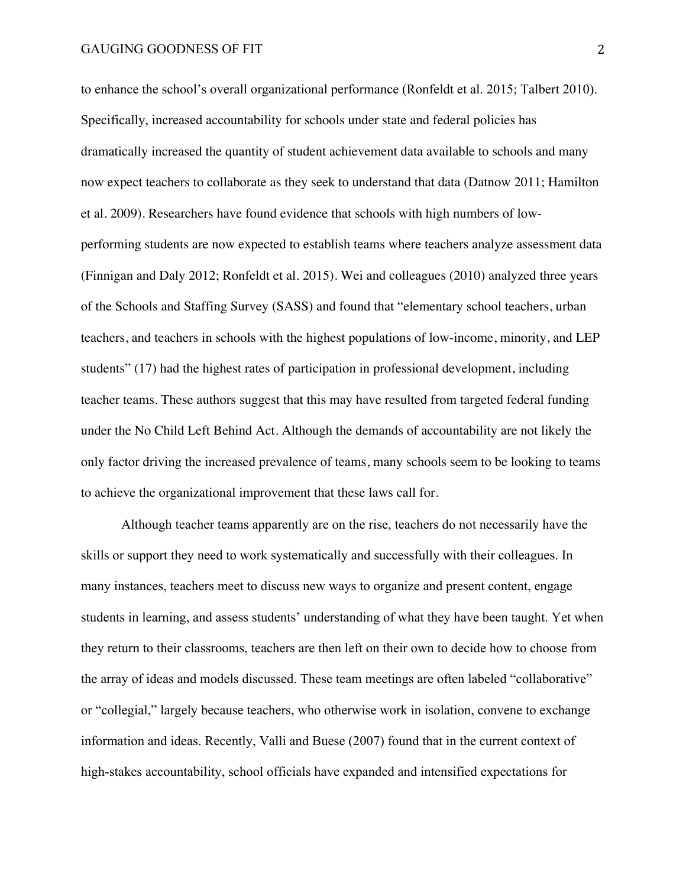to enhance the school's overall organizational performance (Ronfeldt et al. 2015; Talbert 2010). Specifically, increased accountability for schools under state and federal policies has dramatically increased the quantity of student achievement data available to schools and many now expect teachers to collaborate as they seek to understand that data (Datnow 2011; Hamilton et al. 2009). Researchers have found evidence that schools with high numbers of lowperforming students are now expected to establish teams where teachers analyze assessment data (Finnigan and Daly 2012; Ronfeldt et al. 2015). Wei and colleagues (2010) analyzed three years of the Schools and Staffing Survey (SASS) and found that "elementary school teachers, urban teachers, and teachers in schools with the highest populations of low-income, minority, and LEP students" (17) had the highest rates of participation in professional development, including teacher teams. These authors suggest that this may have resulted from targeted federal funding under the No Child Left Behind Act. Although the demands of accountability are not likely the only factor driving the increased prevalence of teams, many schools seem to be looking to teams to achieve the organizational improvement that these laws call for.

Although teacher teams apparently are on the rise, teachers do not necessarily have the skills or support they need to work systematically and successfully with their colleagues. In many instances, teachers meet to discuss new ways to organize and present content, engage students in learning, and assess students' understanding of what they have been taught. Yet when they return to their classrooms, teachers are then left on their own to decide how to choose from the array of ideas and models discussed. These team meetings are often labeled "collaborative" or "collegial," largely because teachers, who otherwise work in isolation, convene to exchange information and ideas. Recently, Valli and Buese (2007) found that in the current context of high-stakes accountability, school officials have expanded and intensified expectations for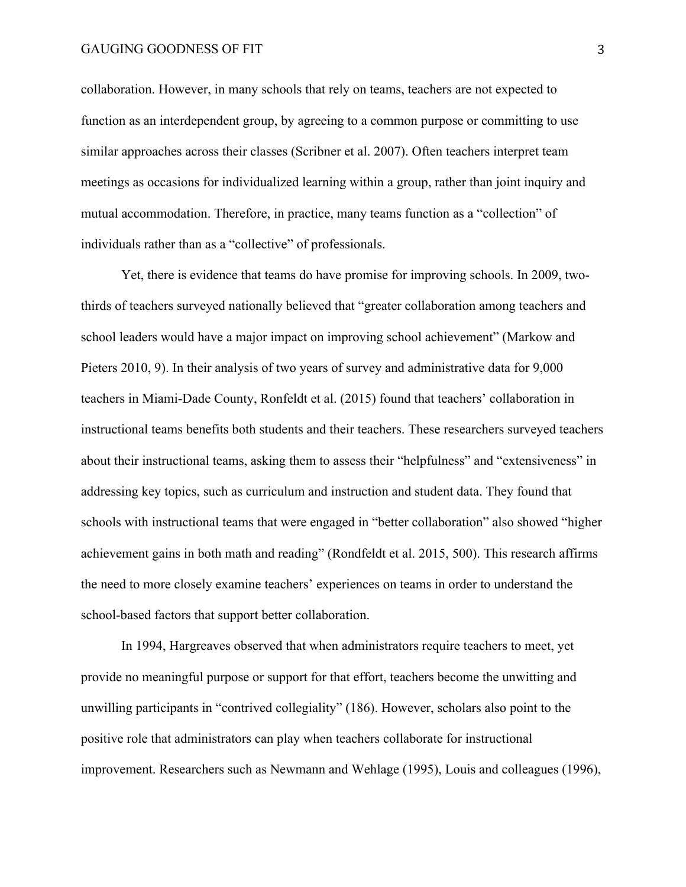# GAUGING GOODNESS OF FIT 3

collaboration. However, in many schools that rely on teams, teachers are not expected to function as an interdependent group, by agreeing to a common purpose or committing to use similar approaches across their classes (Scribner et al. 2007). Often teachers interpret team meetings as occasions for individualized learning within a group, rather than joint inquiry and mutual accommodation. Therefore, in practice, many teams function as a "collection" of individuals rather than as a "collective" of professionals.

Yet, there is evidence that teams do have promise for improving schools. In 2009, twothirds of teachers surveyed nationally believed that "greater collaboration among teachers and school leaders would have a major impact on improving school achievement" (Markow and Pieters 2010, 9). In their analysis of two years of survey and administrative data for 9,000 teachers in Miami-Dade County, Ronfeldt et al. (2015) found that teachers' collaboration in instructional teams benefits both students and their teachers. These researchers surveyed teachers about their instructional teams, asking them to assess their "helpfulness" and "extensiveness" in addressing key topics, such as curriculum and instruction and student data. They found that schools with instructional teams that were engaged in "better collaboration" also showed "higher achievement gains in both math and reading" (Rondfeldt et al. 2015, 500). This research affirms the need to more closely examine teachers' experiences on teams in order to understand the school-based factors that support better collaboration.

In 1994, Hargreaves observed that when administrators require teachers to meet, yet provide no meaningful purpose or support for that effort, teachers become the unwitting and unwilling participants in "contrived collegiality" (186). However, scholars also point to the positive role that administrators can play when teachers collaborate for instructional improvement. Researchers such as Newmann and Wehlage (1995), Louis and colleagues (1996),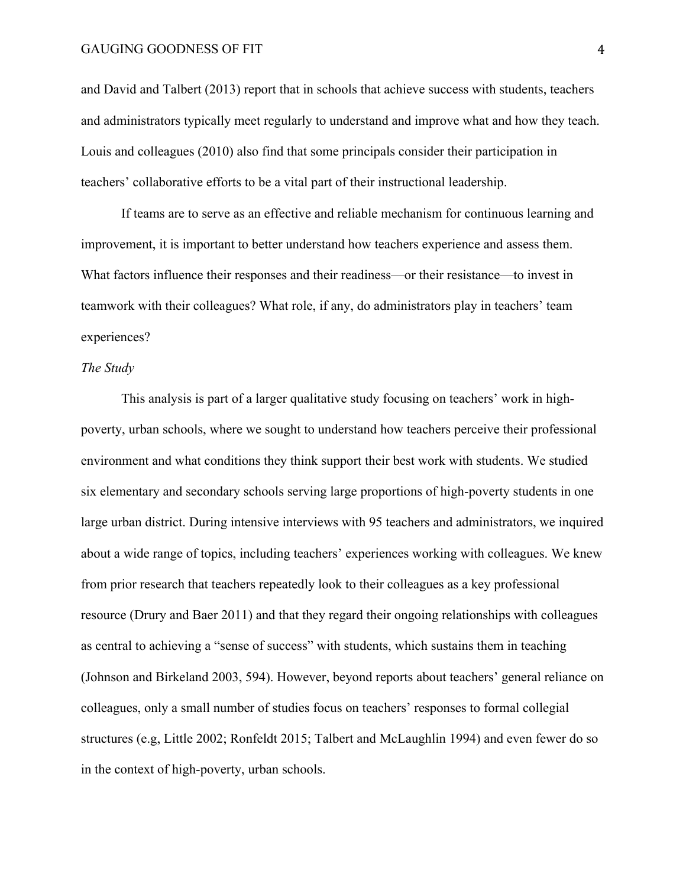# GAUGING GOODNESS OF FIT 4

and David and Talbert (2013) report that in schools that achieve success with students, teachers and administrators typically meet regularly to understand and improve what and how they teach. Louis and colleagues (2010) also find that some principals consider their participation in teachers' collaborative efforts to be a vital part of their instructional leadership.

If teams are to serve as an effective and reliable mechanism for continuous learning and improvement, it is important to better understand how teachers experience and assess them. What factors influence their responses and their readiness—or their resistance—to invest in teamwork with their colleagues? What role, if any, do administrators play in teachers' team experiences?

# *The Study*

This analysis is part of a larger qualitative study focusing on teachers' work in highpoverty, urban schools, where we sought to understand how teachers perceive their professional environment and what conditions they think support their best work with students. We studied six elementary and secondary schools serving large proportions of high-poverty students in one large urban district. During intensive interviews with 95 teachers and administrators, we inquired about a wide range of topics, including teachers' experiences working with colleagues. We knew from prior research that teachers repeatedly look to their colleagues as a key professional resource (Drury and Baer 2011) and that they regard their ongoing relationships with colleagues as central to achieving a "sense of success" with students, which sustains them in teaching (Johnson and Birkeland 2003, 594). However, beyond reports about teachers' general reliance on colleagues, only a small number of studies focus on teachers' responses to formal collegial structures (e.g, Little 2002; Ronfeldt 2015; Talbert and McLaughlin 1994) and even fewer do so in the context of high-poverty, urban schools.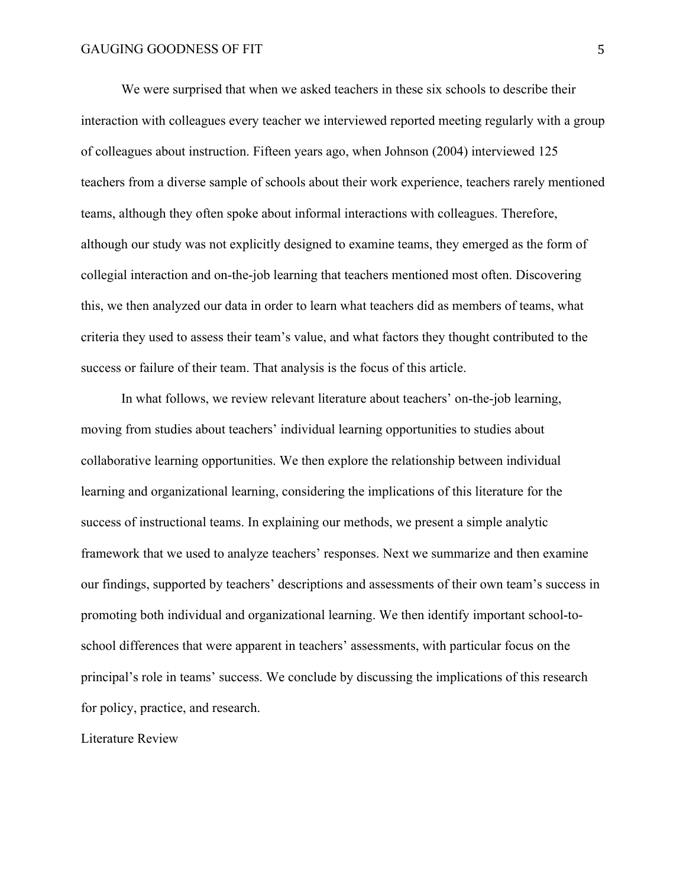We were surprised that when we asked teachers in these six schools to describe their interaction with colleagues every teacher we interviewed reported meeting regularly with a group of colleagues about instruction. Fifteen years ago, when Johnson (2004) interviewed 125 teachers from a diverse sample of schools about their work experience, teachers rarely mentioned teams, although they often spoke about informal interactions with colleagues. Therefore, although our study was not explicitly designed to examine teams, they emerged as the form of collegial interaction and on-the-job learning that teachers mentioned most often. Discovering this, we then analyzed our data in order to learn what teachers did as members of teams, what criteria they used to assess their team's value, and what factors they thought contributed to the success or failure of their team. That analysis is the focus of this article.

In what follows, we review relevant literature about teachers' on-the-job learning, moving from studies about teachers' individual learning opportunities to studies about collaborative learning opportunities. We then explore the relationship between individual learning and organizational learning, considering the implications of this literature for the success of instructional teams. In explaining our methods, we present a simple analytic framework that we used to analyze teachers' responses. Next we summarize and then examine our findings, supported by teachers' descriptions and assessments of their own team's success in promoting both individual and organizational learning. We then identify important school-toschool differences that were apparent in teachers' assessments, with particular focus on the principal's role in teams' success. We conclude by discussing the implications of this research for policy, practice, and research.

Literature Review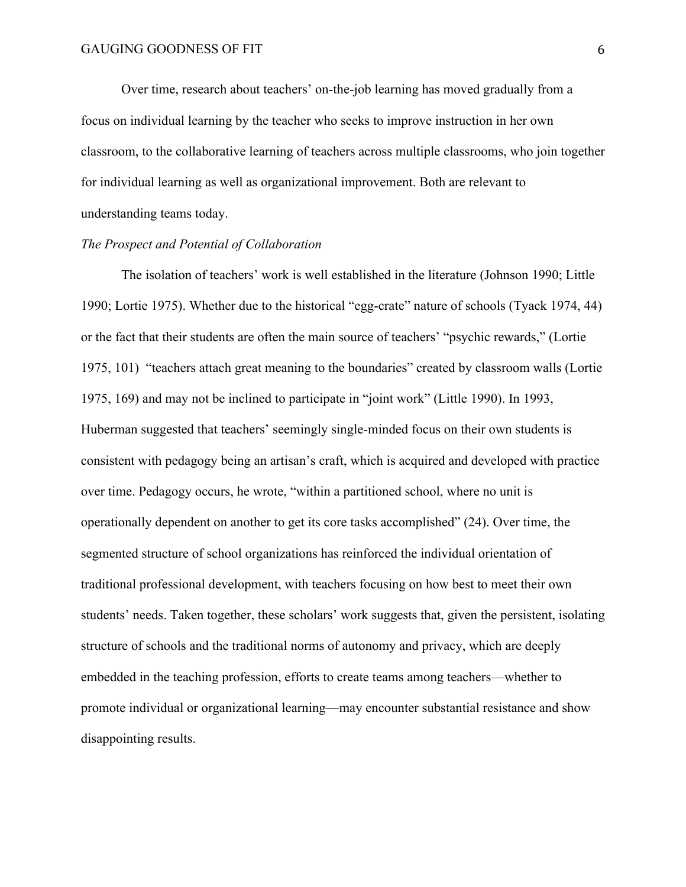Over time, research about teachers' on-the-job learning has moved gradually from a focus on individual learning by the teacher who seeks to improve instruction in her own classroom, to the collaborative learning of teachers across multiple classrooms, who join together for individual learning as well as organizational improvement. Both are relevant to understanding teams today.

# *The Prospect and Potential of Collaboration*

The isolation of teachers' work is well established in the literature (Johnson 1990; Little 1990; Lortie 1975). Whether due to the historical "egg-crate" nature of schools (Tyack 1974, 44) or the fact that their students are often the main source of teachers' "psychic rewards," (Lortie 1975, 101) "teachers attach great meaning to the boundaries" created by classroom walls (Lortie 1975, 169) and may not be inclined to participate in "joint work" (Little 1990). In 1993, Huberman suggested that teachers' seemingly single-minded focus on their own students is consistent with pedagogy being an artisan's craft, which is acquired and developed with practice over time. Pedagogy occurs, he wrote, "within a partitioned school, where no unit is operationally dependent on another to get its core tasks accomplished" (24). Over time, the segmented structure of school organizations has reinforced the individual orientation of traditional professional development, with teachers focusing on how best to meet their own students' needs. Taken together, these scholars' work suggests that, given the persistent, isolating structure of schools and the traditional norms of autonomy and privacy, which are deeply embedded in the teaching profession, efforts to create teams among teachers—whether to promote individual or organizational learning—may encounter substantial resistance and show disappointing results.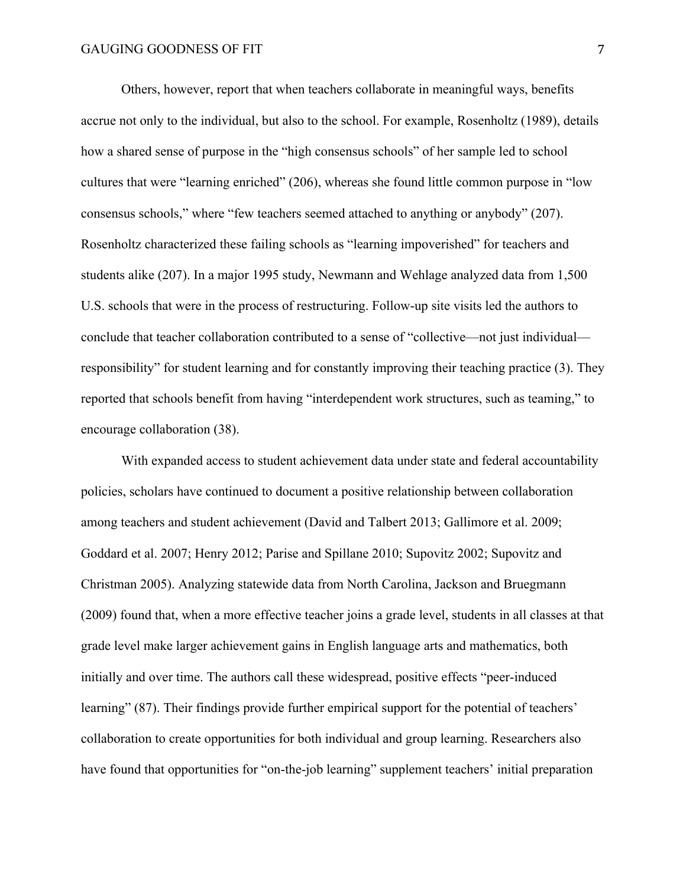Others, however, report that when teachers collaborate in meaningful ways, benefits accrue not only to the individual, but also to the school. For example, Rosenholtz (1989), details how a shared sense of purpose in the "high consensus schools" of her sample led to school cultures that were "learning enriched" (206), whereas she found little common purpose in "low consensus schools," where "few teachers seemed attached to anything or anybody" (207). Rosenholtz characterized these failing schools as "learning impoverished" for teachers and students alike (207). In a major 1995 study, Newmann and Wehlage analyzed data from 1,500 U.S. schools that were in the process of restructuring. Follow-up site visits led the authors to conclude that teacher collaboration contributed to a sense of "collective—not just individual responsibility" for student learning and for constantly improving their teaching practice (3). They reported that schools benefit from having "interdependent work structures, such as teaming," to encourage collaboration (38).

With expanded access to student achievement data under state and federal accountability policies, scholars have continued to document a positive relationship between collaboration among teachers and student achievement (David and Talbert 2013; Gallimore et al. 2009; Goddard et al. 2007; Henry 2012; Parise and Spillane 2010; Supovitz 2002; Supovitz and Christman 2005). Analyzing statewide data from North Carolina, Jackson and Bruegmann (2009) found that, when a more effective teacher joins a grade level, students in all classes at that grade level make larger achievement gains in English language arts and mathematics, both initially and over time. The authors call these widespread, positive effects "peer-induced learning" (87). Their findings provide further empirical support for the potential of teachers' collaboration to create opportunities for both individual and group learning. Researchers also have found that opportunities for "on-the-job learning" supplement teachers' initial preparation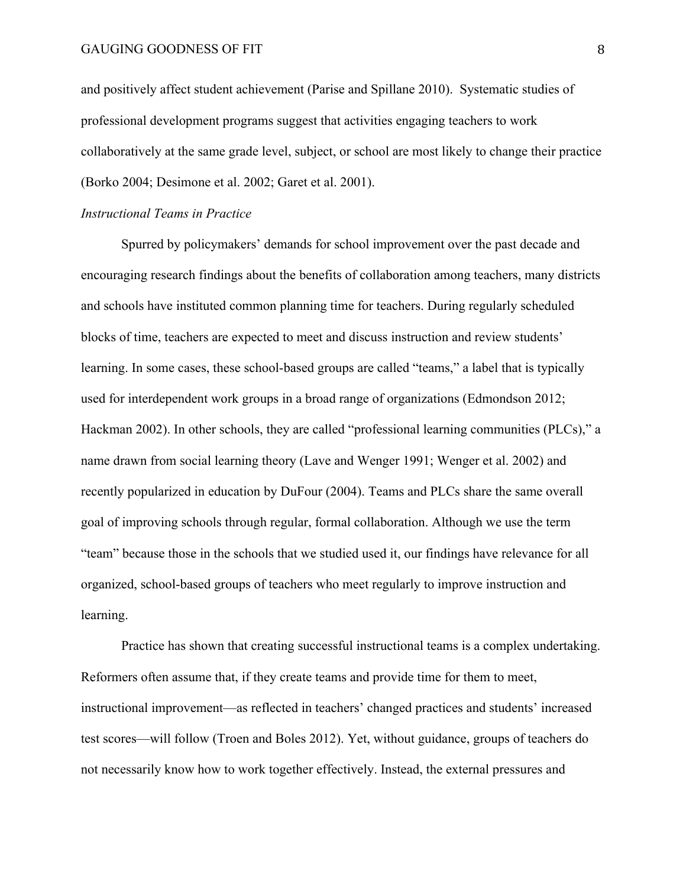and positively affect student achievement (Parise and Spillane 2010). Systematic studies of professional development programs suggest that activities engaging teachers to work collaboratively at the same grade level, subject, or school are most likely to change their practice (Borko 2004; Desimone et al. 2002; Garet et al. 2001).

#### *Instructional Teams in Practice*

Spurred by policymakers' demands for school improvement over the past decade and encouraging research findings about the benefits of collaboration among teachers, many districts and schools have instituted common planning time for teachers. During regularly scheduled blocks of time, teachers are expected to meet and discuss instruction and review students' learning. In some cases, these school-based groups are called "teams," a label that is typically used for interdependent work groups in a broad range of organizations (Edmondson 2012; Hackman 2002). In other schools, they are called "professional learning communities (PLCs)," a name drawn from social learning theory (Lave and Wenger 1991; Wenger et al. 2002) and recently popularized in education by DuFour (2004). Teams and PLCs share the same overall goal of improving schools through regular, formal collaboration. Although we use the term "team" because those in the schools that we studied used it, our findings have relevance for all organized, school-based groups of teachers who meet regularly to improve instruction and learning.

Practice has shown that creating successful instructional teams is a complex undertaking. Reformers often assume that, if they create teams and provide time for them to meet, instructional improvement—as reflected in teachers' changed practices and students' increased test scores—will follow (Troen and Boles 2012). Yet, without guidance, groups of teachers do not necessarily know how to work together effectively. Instead, the external pressures and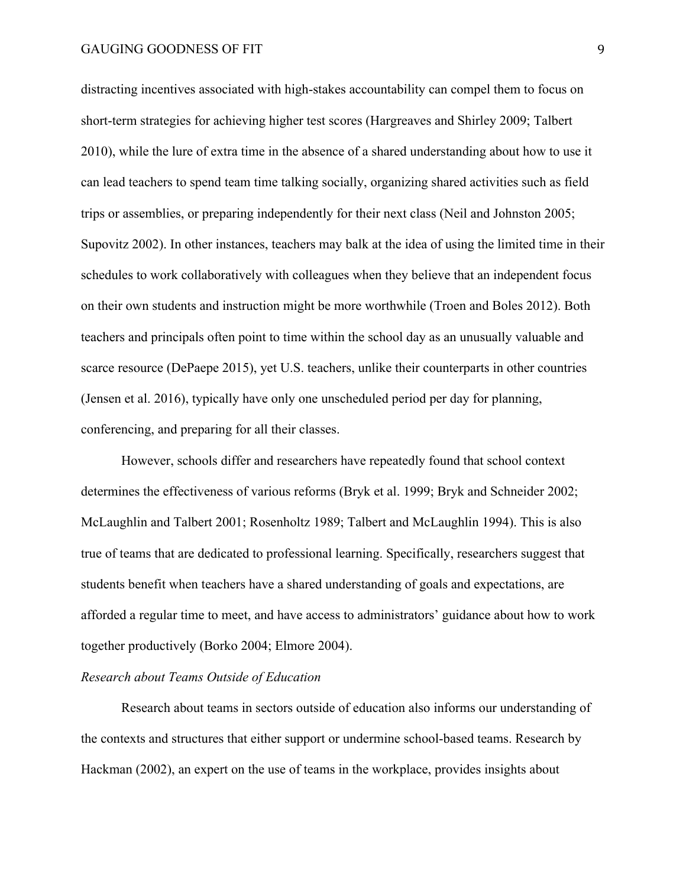# GAUGING GOODNESS OF FIT
<sup>9</sup>

distracting incentives associated with high-stakes accountability can compel them to focus on short-term strategies for achieving higher test scores (Hargreaves and Shirley 2009; Talbert 2010), while the lure of extra time in the absence of a shared understanding about how to use it can lead teachers to spend team time talking socially, organizing shared activities such as field trips or assemblies, or preparing independently for their next class (Neil and Johnston 2005; Supovitz 2002). In other instances, teachers may balk at the idea of using the limited time in their schedules to work collaboratively with colleagues when they believe that an independent focus on their own students and instruction might be more worthwhile (Troen and Boles 2012). Both teachers and principals often point to time within the school day as an unusually valuable and scarce resource (DePaepe 2015), yet U.S. teachers, unlike their counterparts in other countries (Jensen et al. 2016), typically have only one unscheduled period per day for planning, conferencing, and preparing for all their classes.

However, schools differ and researchers have repeatedly found that school context determines the effectiveness of various reforms (Bryk et al. 1999; Bryk and Schneider 2002; McLaughlin and Talbert 2001; Rosenholtz 1989; Talbert and McLaughlin 1994). This is also true of teams that are dedicated to professional learning. Specifically, researchers suggest that students benefit when teachers have a shared understanding of goals and expectations, are afforded a regular time to meet, and have access to administrators' guidance about how to work together productively (Borko 2004; Elmore 2004).

# *Research about Teams Outside of Education*

Research about teams in sectors outside of education also informs our understanding of the contexts and structures that either support or undermine school-based teams. Research by Hackman (2002), an expert on the use of teams in the workplace, provides insights about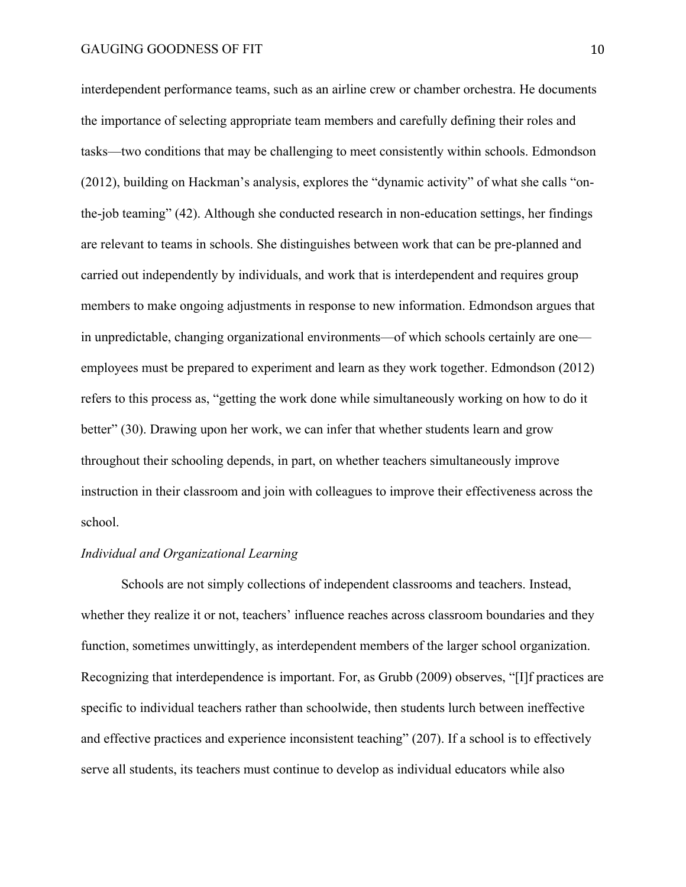interdependent performance teams, such as an airline crew or chamber orchestra. He documents the importance of selecting appropriate team members and carefully defining their roles and tasks—two conditions that may be challenging to meet consistently within schools. Edmondson (2012), building on Hackman's analysis, explores the "dynamic activity" of what she calls "onthe-job teaming" (42). Although she conducted research in non-education settings, her findings are relevant to teams in schools. She distinguishes between work that can be pre-planned and carried out independently by individuals, and work that is interdependent and requires group members to make ongoing adjustments in response to new information. Edmondson argues that in unpredictable, changing organizational environments—of which schools certainly are one employees must be prepared to experiment and learn as they work together. Edmondson (2012) refers to this process as, "getting the work done while simultaneously working on how to do it better" (30). Drawing upon her work, we can infer that whether students learn and grow throughout their schooling depends, in part, on whether teachers simultaneously improve instruction in their classroom and join with colleagues to improve their effectiveness across the school.

# *Individual and Organizational Learning*

Schools are not simply collections of independent classrooms and teachers. Instead, whether they realize it or not, teachers' influence reaches across classroom boundaries and they function, sometimes unwittingly, as interdependent members of the larger school organization. Recognizing that interdependence is important. For, as Grubb (2009) observes, "[I]f practices are specific to individual teachers rather than schoolwide, then students lurch between ineffective and effective practices and experience inconsistent teaching" (207). If a school is to effectively serve all students, its teachers must continue to develop as individual educators while also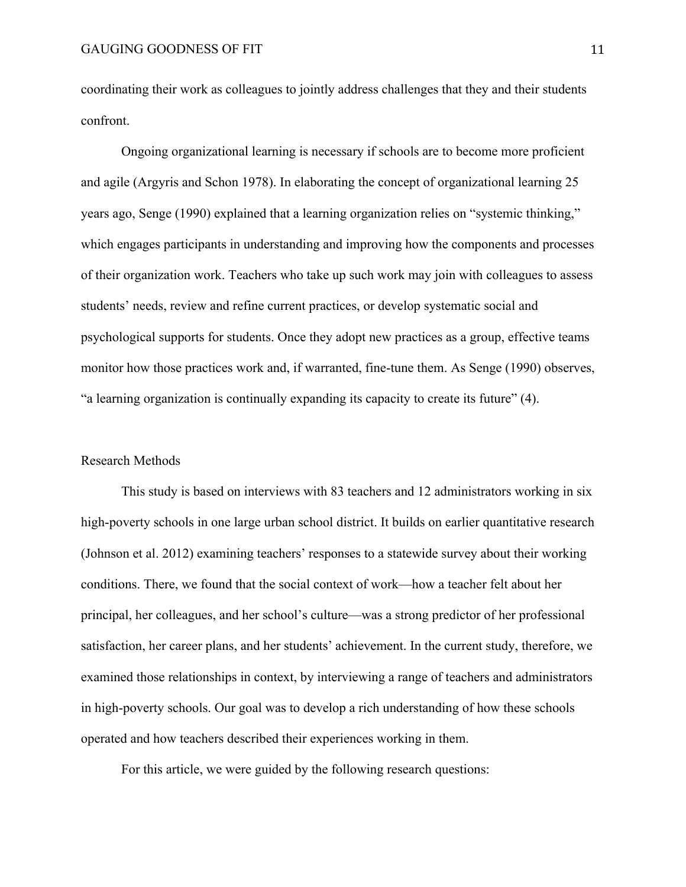coordinating their work as colleagues to jointly address challenges that they and their students confront.

Ongoing organizational learning is necessary if schools are to become more proficient and agile (Argyris and Schon 1978). In elaborating the concept of organizational learning 25 years ago, Senge (1990) explained that a learning organization relies on "systemic thinking," which engages participants in understanding and improving how the components and processes of their organization work. Teachers who take up such work may join with colleagues to assess students' needs, review and refine current practices, or develop systematic social and psychological supports for students. Once they adopt new practices as a group, effective teams monitor how those practices work and, if warranted, fine-tune them. As Senge (1990) observes, "a learning organization is continually expanding its capacity to create its future" (4).

### Research Methods

This study is based on interviews with 83 teachers and 12 administrators working in six high-poverty schools in one large urban school district. It builds on earlier quantitative research (Johnson et al. 2012) examining teachers' responses to a statewide survey about their working conditions. There, we found that the social context of work—how a teacher felt about her principal, her colleagues, and her school's culture—was a strong predictor of her professional satisfaction, her career plans, and her students' achievement. In the current study, therefore, we examined those relationships in context, by interviewing a range of teachers and administrators in high-poverty schools. Our goal was to develop a rich understanding of how these schools operated and how teachers described their experiences working in them.

For this article, we were guided by the following research questions: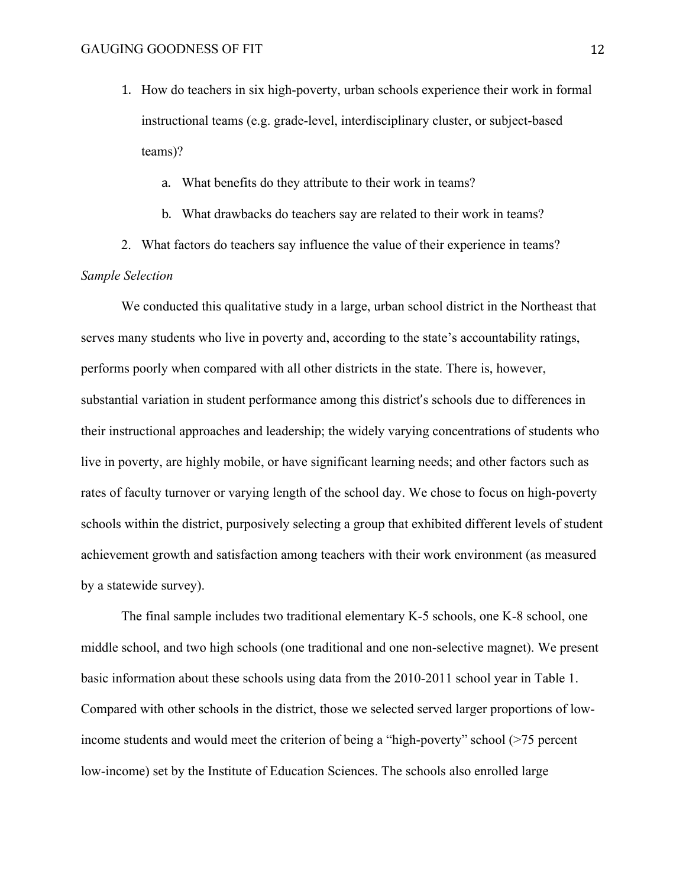1. How do teachers in six high-poverty, urban schools experience their work in formal instructional teams (e.g. grade-level, interdisciplinary cluster, or subject-based teams)?

a. What benefits do they attribute to their work in teams?

- b. What drawbacks do teachers say are related to their work in teams?
- 2. What factors do teachers say influence the value of their experience in teams? *Sample Selection*

We conducted this qualitative study in a large, urban school district in the Northeast that serves many students who live in poverty and, according to the state's accountability ratings, performs poorly when compared with all other districts in the state. There is, however, substantial variation in student performance among this district's schools due to differences in their instructional approaches and leadership; the widely varying concentrations of students who live in poverty, are highly mobile, or have significant learning needs; and other factors such as rates of faculty turnover or varying length of the school day. We chose to focus on high-poverty schools within the district, purposively selecting a group that exhibited different levels of student achievement growth and satisfaction among teachers with their work environment (as measured by a statewide survey).

The final sample includes two traditional elementary K-5 schools, one K-8 school, one middle school, and two high schools (one traditional and one non-selective magnet). We present basic information about these schools using data from the 2010-2011 school year in Table 1. Compared with other schools in the district, those we selected served larger proportions of lowincome students and would meet the criterion of being a "high-poverty" school (>75 percent low-income) set by the Institute of Education Sciences. The schools also enrolled large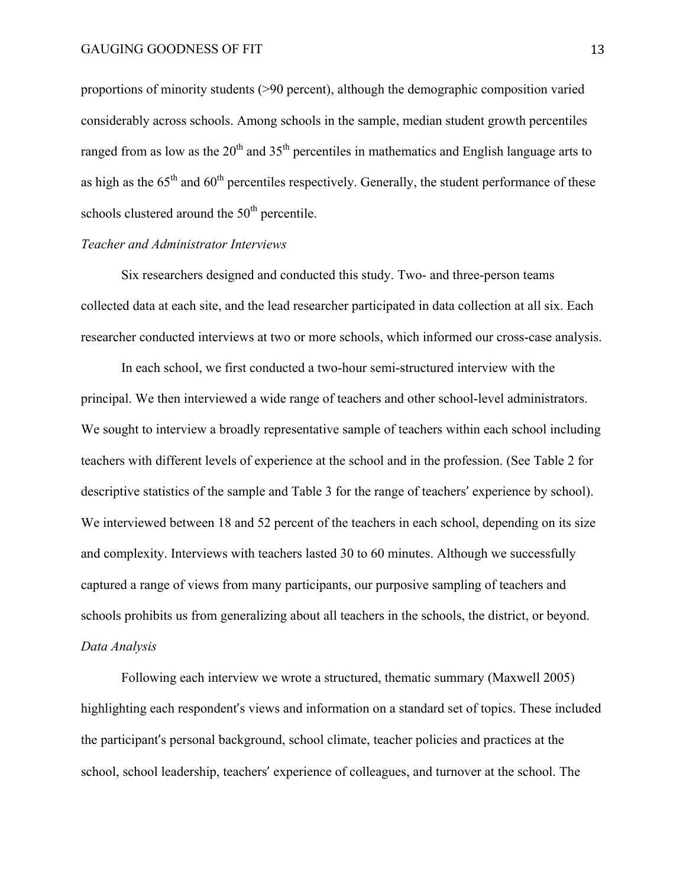proportions of minority students (>90 percent), although the demographic composition varied considerably across schools. Among schools in the sample, median student growth percentiles ranged from as low as the  $20<sup>th</sup>$  and  $35<sup>th</sup>$  percentiles in mathematics and English language arts to as high as the  $65<sup>th</sup>$  and  $60<sup>th</sup>$  percentiles respectively. Generally, the student performance of these schools clustered around the  $50<sup>th</sup>$  percentile.

# *Teacher and Administrator Interviews*

Six researchers designed and conducted this study. Two- and three-person teams collected data at each site, and the lead researcher participated in data collection at all six. Each researcher conducted interviews at two or more schools, which informed our cross-case analysis.

In each school, we first conducted a two-hour semi-structured interview with the principal. We then interviewed a wide range of teachers and other school-level administrators. We sought to interview a broadly representative sample of teachers within each school including teachers with different levels of experience at the school and in the profession. (See Table 2 for descriptive statistics of the sample and Table 3 for the range of teachers' experience by school). We interviewed between 18 and 52 percent of the teachers in each school, depending on its size and complexity. Interviews with teachers lasted 30 to 60 minutes. Although we successfully captured a range of views from many participants, our purposive sampling of teachers and schools prohibits us from generalizing about all teachers in the schools, the district, or beyond. *Data Analysis*

Following each interview we wrote a structured, thematic summary (Maxwell 2005) highlighting each respondent's views and information on a standard set of topics. These included the participant's personal background, school climate, teacher policies and practices at the school, school leadership, teachers' experience of colleagues, and turnover at the school. The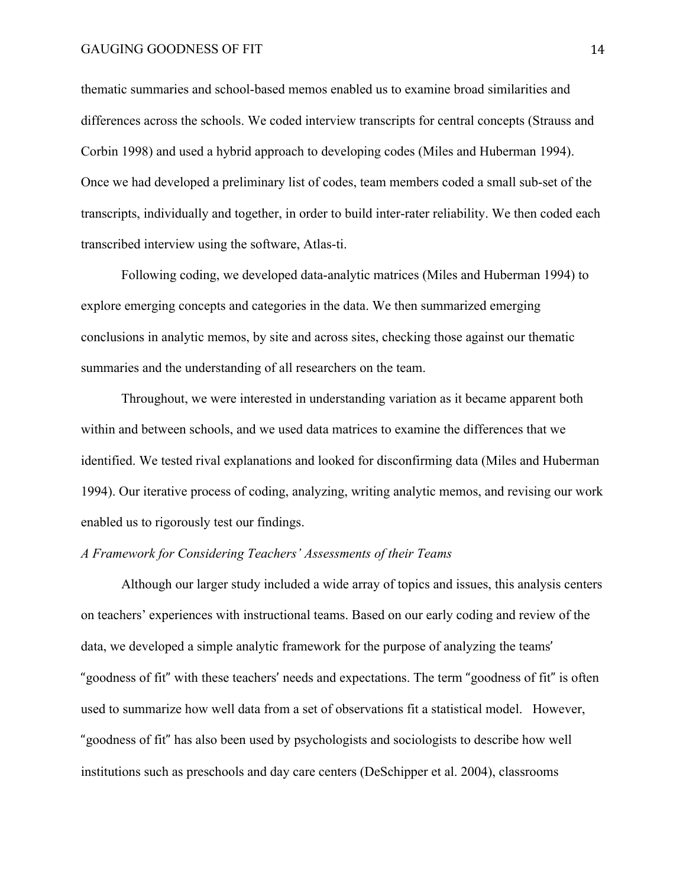# GAUGING GOODNESS OF FIT
<sup>14</sup>

thematic summaries and school-based memos enabled us to examine broad similarities and differences across the schools. We coded interview transcripts for central concepts (Strauss and Corbin 1998) and used a hybrid approach to developing codes (Miles and Huberman 1994). Once we had developed a preliminary list of codes, team members coded a small sub-set of the transcripts, individually and together, in order to build inter-rater reliability. We then coded each transcribed interview using the software, Atlas-ti.

Following coding, we developed data-analytic matrices (Miles and Huberman 1994) to explore emerging concepts and categories in the data. We then summarized emerging conclusions in analytic memos, by site and across sites, checking those against our thematic summaries and the understanding of all researchers on the team.

Throughout, we were interested in understanding variation as it became apparent both within and between schools, and we used data matrices to examine the differences that we identified. We tested rival explanations and looked for disconfirming data (Miles and Huberman 1994). Our iterative process of coding, analyzing, writing analytic memos, and revising our work enabled us to rigorously test our findings.

# *A Framework for Considering Teachers' Assessments of their Teams*

Although our larger study included a wide array of topics and issues, this analysis centers on teachers' experiences with instructional teams. Based on our early coding and review of the data, we developed a simple analytic framework for the purpose of analyzing the teams' "goodness of fit" with these teachers' needs and expectations. The term "goodness of fit" is often used to summarize how well data from a set of observations fit a statistical model. However, "goodness of fit" has also been used by psychologists and sociologists to describe how well institutions such as preschools and day care centers (DeSchipper et al. 2004), classrooms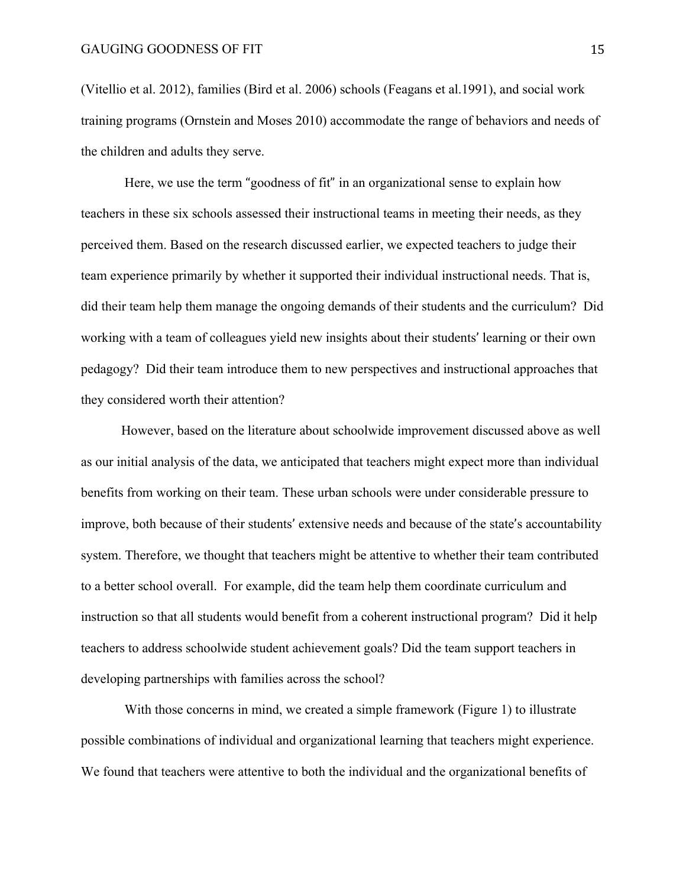(Vitellio et al. 2012), families (Bird et al. 2006) schools (Feagans et al.1991), and social work training programs (Ornstein and Moses 2010) accommodate the range of behaviors and needs of the children and adults they serve.

Here, we use the term "goodness of fit" in an organizational sense to explain how teachers in these six schools assessed their instructional teams in meeting their needs, as they perceived them. Based on the research discussed earlier, we expected teachers to judge their team experience primarily by whether it supported their individual instructional needs. That is, did their team help them manage the ongoing demands of their students and the curriculum? Did working with a team of colleagues yield new insights about their students' learning or their own pedagogy? Did their team introduce them to new perspectives and instructional approaches that they considered worth their attention?

However, based on the literature about schoolwide improvement discussed above as well as our initial analysis of the data, we anticipated that teachers might expect more than individual benefits from working on their team. These urban schools were under considerable pressure to improve, both because of their students' extensive needs and because of the state's accountability system. Therefore, we thought that teachers might be attentive to whether their team contributed to a better school overall. For example, did the team help them coordinate curriculum and instruction so that all students would benefit from a coherent instructional program? Did it help teachers to address schoolwide student achievement goals? Did the team support teachers in developing partnerships with families across the school?

With those concerns in mind, we created a simple framework (Figure 1) to illustrate possible combinations of individual and organizational learning that teachers might experience. We found that teachers were attentive to both the individual and the organizational benefits of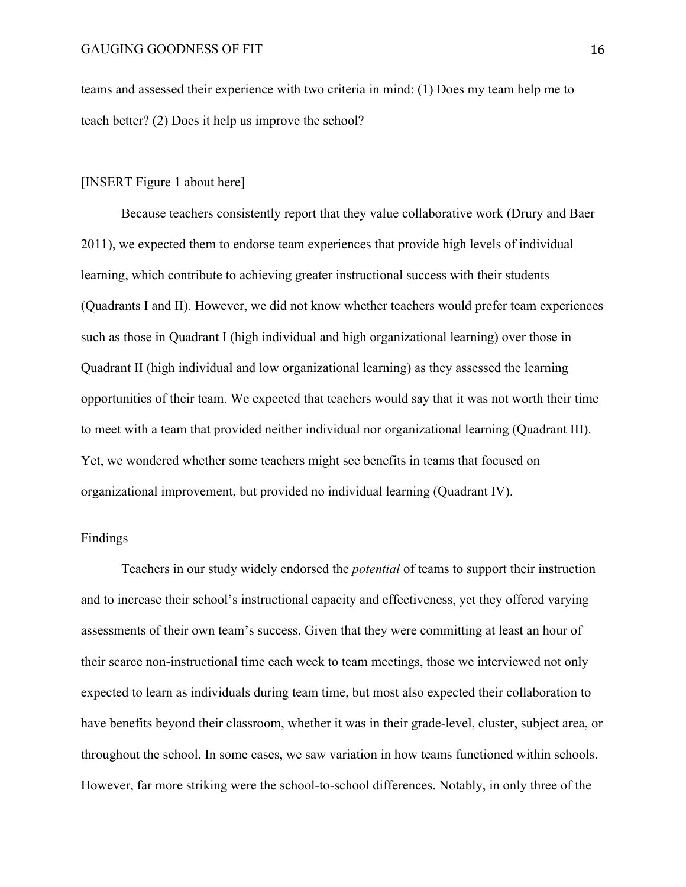teams and assessed their experience with two criteria in mind: (1) Does my team help me to teach better? (2) Does it help us improve the school?

### [INSERT Figure 1 about here]

Because teachers consistently report that they value collaborative work (Drury and Baer 2011), we expected them to endorse team experiences that provide high levels of individual learning, which contribute to achieving greater instructional success with their students (Quadrants I and II). However, we did not know whether teachers would prefer team experiences such as those in Quadrant I (high individual and high organizational learning) over those in Quadrant II (high individual and low organizational learning) as they assessed the learning opportunities of their team. We expected that teachers would say that it was not worth their time to meet with a team that provided neither individual nor organizational learning (Quadrant III). Yet, we wondered whether some teachers might see benefits in teams that focused on organizational improvement, but provided no individual learning (Quadrant IV).

# Findings

Teachers in our study widely endorsed the *potential* of teams to support their instruction and to increase their school's instructional capacity and effectiveness, yet they offered varying assessments of their own team's success. Given that they were committing at least an hour of their scarce non-instructional time each week to team meetings, those we interviewed not only expected to learn as individuals during team time, but most also expected their collaboration to have benefits beyond their classroom, whether it was in their grade-level, cluster, subject area, or throughout the school. In some cases, we saw variation in how teams functioned within schools. However, far more striking were the school-to-school differences. Notably, in only three of the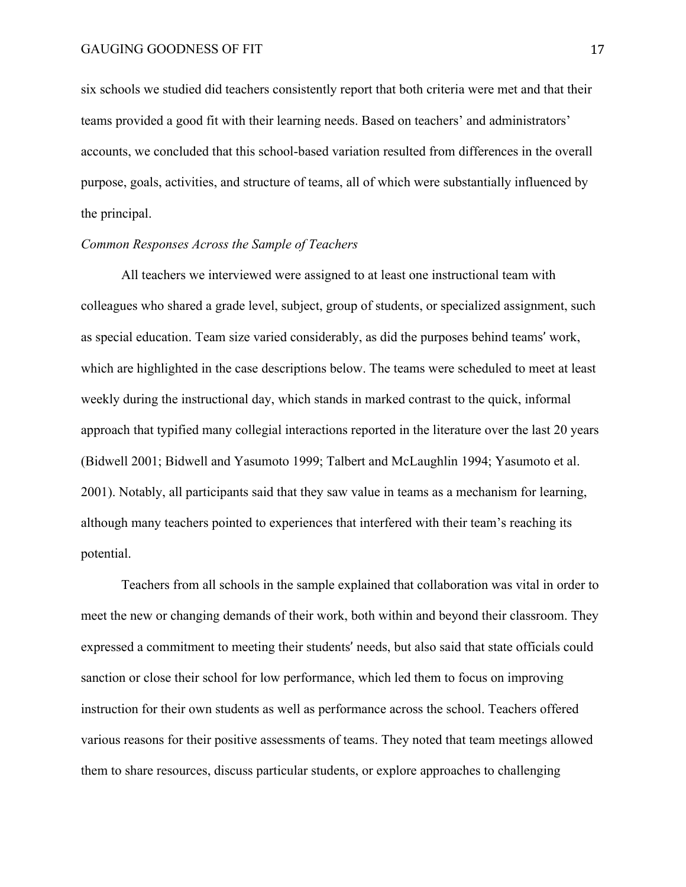six schools we studied did teachers consistently report that both criteria were met and that their teams provided a good fit with their learning needs. Based on teachers' and administrators' accounts, we concluded that this school-based variation resulted from differences in the overall purpose, goals, activities, and structure of teams, all of which were substantially influenced by the principal.

### *Common Responses Across the Sample of Teachers*

All teachers we interviewed were assigned to at least one instructional team with colleagues who shared a grade level, subject, group of students, or specialized assignment, such as special education. Team size varied considerably, as did the purposes behind teams' work, which are highlighted in the case descriptions below. The teams were scheduled to meet at least weekly during the instructional day, which stands in marked contrast to the quick, informal approach that typified many collegial interactions reported in the literature over the last 20 years (Bidwell 2001; Bidwell and Yasumoto 1999; Talbert and McLaughlin 1994; Yasumoto et al. 2001). Notably, all participants said that they saw value in teams as a mechanism for learning, although many teachers pointed to experiences that interfered with their team's reaching its potential.

Teachers from all schools in the sample explained that collaboration was vital in order to meet the new or changing demands of their work, both within and beyond their classroom. They expressed a commitment to meeting their students' needs, but also said that state officials could sanction or close their school for low performance, which led them to focus on improving instruction for their own students as well as performance across the school. Teachers offered various reasons for their positive assessments of teams. They noted that team meetings allowed them to share resources, discuss particular students, or explore approaches to challenging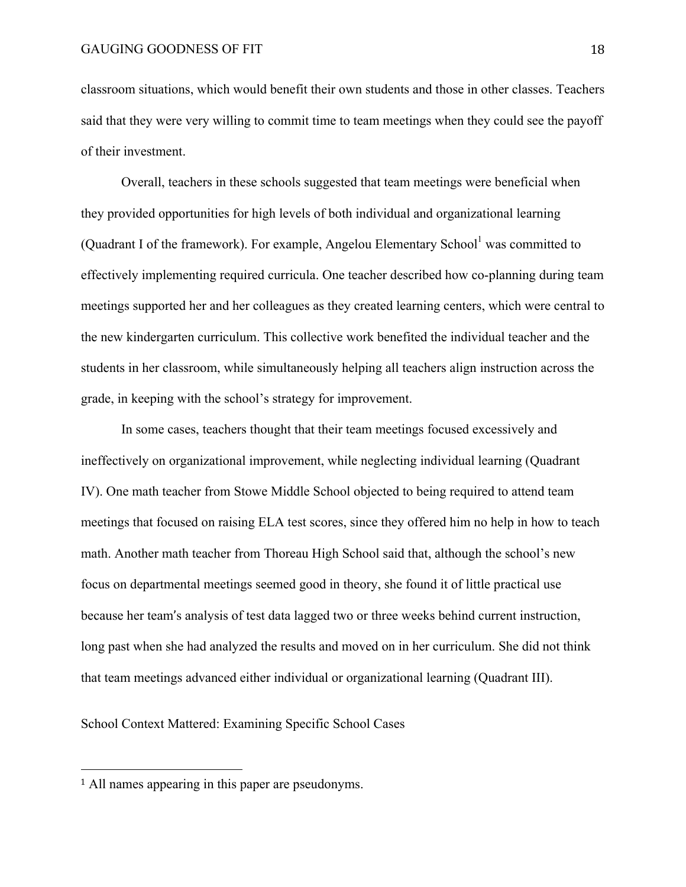classroom situations, which would benefit their own students and those in other classes. Teachers said that they were very willing to commit time to team meetings when they could see the payoff of their investment.

Overall, teachers in these schools suggested that team meetings were beneficial when they provided opportunities for high levels of both individual and organizational learning (Quadrant I of the framework). For example, Angelou Elementary School $^1$  was committed to effectively implementing required curricula. One teacher described how co-planning during team meetings supported her and her colleagues as they created learning centers, which were central to the new kindergarten curriculum. This collective work benefited the individual teacher and the students in her classroom, while simultaneously helping all teachers align instruction across the grade, in keeping with the school's strategy for improvement.

In some cases, teachers thought that their team meetings focused excessively and ineffectively on organizational improvement, while neglecting individual learning (Quadrant IV). One math teacher from Stowe Middle School objected to being required to attend team meetings that focused on raising ELA test scores, since they offered him no help in how to teach math. Another math teacher from Thoreau High School said that, although the school's new focus on departmental meetings seemed good in theory, she found it of little practical use because her team's analysis of test data lagged two or three weeks behind current instruction, long past when she had analyzed the results and moved on in her curriculum. She did not think that team meetings advanced either individual or organizational learning (Quadrant III).

School Context Mattered: Examining Specific School Cases

 

<sup>1</sup> All names appearing in this paper are pseudonyms.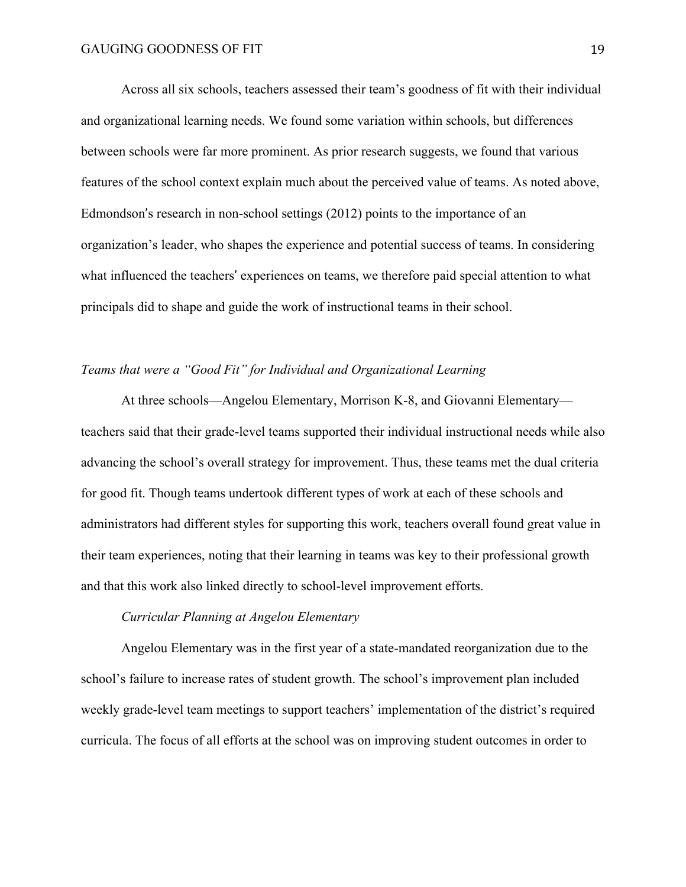Across all six schools, teachers assessed their team's goodness of fit with their individual and organizational learning needs. We found some variation within schools, but differences between schools were far more prominent. As prior research suggests, we found that various features of the school context explain much about the perceived value of teams. As noted above, Edmondson's research in non-school settings (2012) points to the importance of an organization's leader, who shapes the experience and potential success of teams. In considering what influenced the teachers' experiences on teams, we therefore paid special attention to what principals did to shape and guide the work of instructional teams in their school.

# *Teams that were a "Good Fit" for Individual and Organizational Learning*

At three schools—Angelou Elementary, Morrison K-8, and Giovanni Elementary teachers said that their grade-level teams supported their individual instructional needs while also advancing the school's overall strategy for improvement. Thus, these teams met the dual criteria for good fit. Though teams undertook different types of work at each of these schools and administrators had different styles for supporting this work, teachers overall found great value in their team experiences, noting that their learning in teams was key to their professional growth and that this work also linked directly to school-level improvement efforts.

# *Curricular Planning at Angelou Elementary*

Angelou Elementary was in the first year of a state-mandated reorganization due to the school's failure to increase rates of student growth. The school's improvement plan included weekly grade-level team meetings to support teachers' implementation of the district's required curricula. The focus of all efforts at the school was on improving student outcomes in order to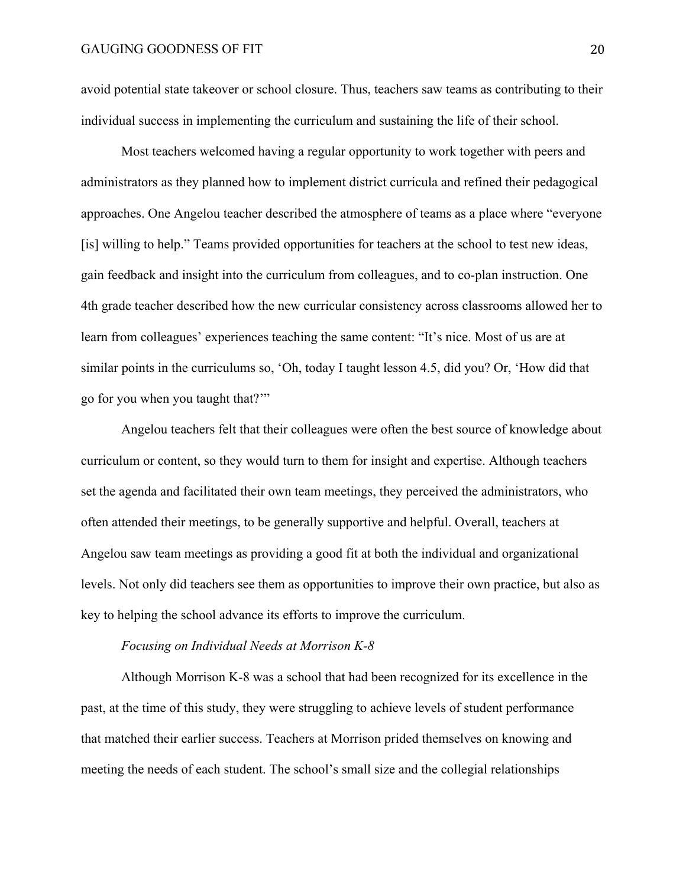avoid potential state takeover or school closure. Thus, teachers saw teams as contributing to their individual success in implementing the curriculum and sustaining the life of their school.

Most teachers welcomed having a regular opportunity to work together with peers and administrators as they planned how to implement district curricula and refined their pedagogical approaches. One Angelou teacher described the atmosphere of teams as a place where "everyone [is] willing to help." Teams provided opportunities for teachers at the school to test new ideas, gain feedback and insight into the curriculum from colleagues, and to co-plan instruction. One 4th grade teacher described how the new curricular consistency across classrooms allowed her to learn from colleagues' experiences teaching the same content: "It's nice. Most of us are at similar points in the curriculums so, 'Oh, today I taught lesson 4.5, did you? Or, 'How did that go for you when you taught that?'"

Angelou teachers felt that their colleagues were often the best source of knowledge about curriculum or content, so they would turn to them for insight and expertise. Although teachers set the agenda and facilitated their own team meetings, they perceived the administrators, who often attended their meetings, to be generally supportive and helpful. Overall, teachers at Angelou saw team meetings as providing a good fit at both the individual and organizational levels. Not only did teachers see them as opportunities to improve their own practice, but also as key to helping the school advance its efforts to improve the curriculum.

#### *Focusing on Individual Needs at Morrison K-8*

Although Morrison K-8 was a school that had been recognized for its excellence in the past, at the time of this study, they were struggling to achieve levels of student performance that matched their earlier success. Teachers at Morrison prided themselves on knowing and meeting the needs of each student. The school's small size and the collegial relationships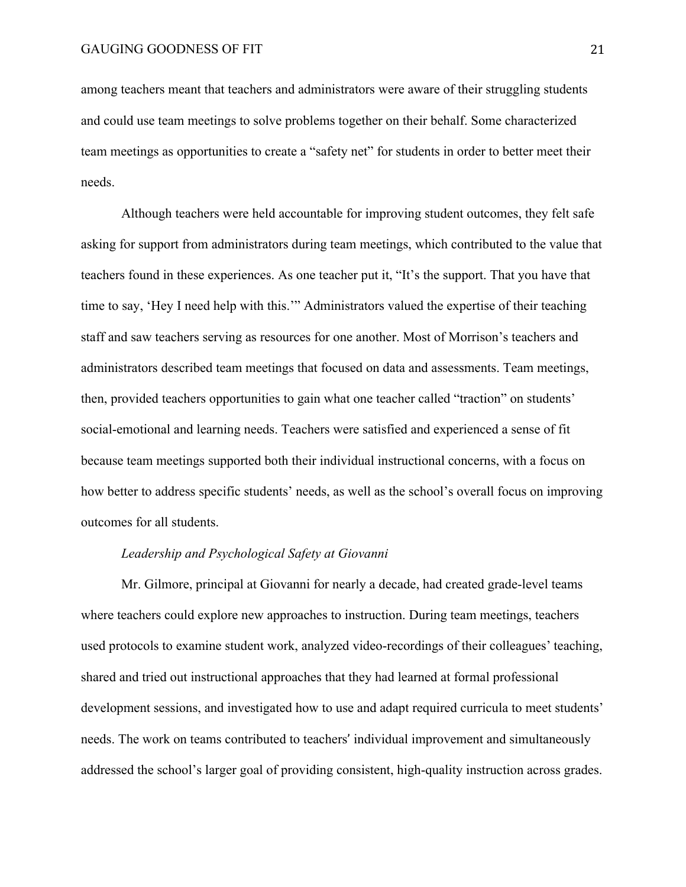among teachers meant that teachers and administrators were aware of their struggling students and could use team meetings to solve problems together on their behalf. Some characterized team meetings as opportunities to create a "safety net" for students in order to better meet their needs.

Although teachers were held accountable for improving student outcomes, they felt safe asking for support from administrators during team meetings, which contributed to the value that teachers found in these experiences. As one teacher put it, "It's the support. That you have that time to say, 'Hey I need help with this.'" Administrators valued the expertise of their teaching staff and saw teachers serving as resources for one another. Most of Morrison's teachers and administrators described team meetings that focused on data and assessments. Team meetings, then, provided teachers opportunities to gain what one teacher called "traction" on students' social-emotional and learning needs. Teachers were satisfied and experienced a sense of fit because team meetings supported both their individual instructional concerns, with a focus on how better to address specific students' needs, as well as the school's overall focus on improving outcomes for all students.

### *Leadership and Psychological Safety at Giovanni*

Mr. Gilmore, principal at Giovanni for nearly a decade, had created grade-level teams where teachers could explore new approaches to instruction. During team meetings, teachers used protocols to examine student work, analyzed video-recordings of their colleagues' teaching, shared and tried out instructional approaches that they had learned at formal professional development sessions, and investigated how to use and adapt required curricula to meet students' needs. The work on teams contributed to teachers' individual improvement and simultaneously addressed the school's larger goal of providing consistent, high-quality instruction across grades.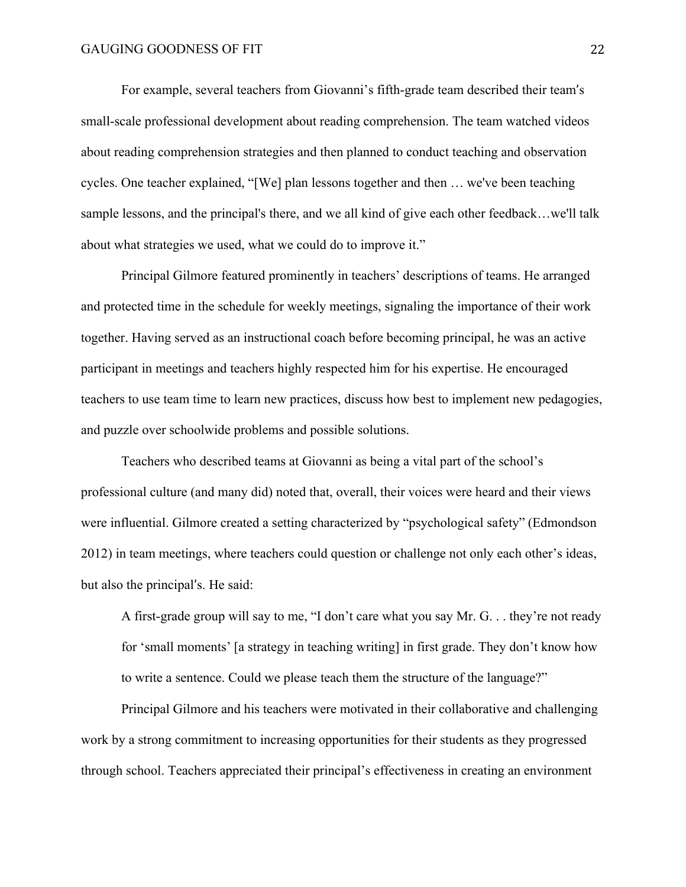For example, several teachers from Giovanni's fifth-grade team described their team's small-scale professional development about reading comprehension. The team watched videos about reading comprehension strategies and then planned to conduct teaching and observation cycles. One teacher explained, "[We] plan lessons together and then … we've been teaching sample lessons, and the principal's there, and we all kind of give each other feedback…we'll talk about what strategies we used, what we could do to improve it."

Principal Gilmore featured prominently in teachers' descriptions of teams. He arranged and protected time in the schedule for weekly meetings, signaling the importance of their work together. Having served as an instructional coach before becoming principal, he was an active participant in meetings and teachers highly respected him for his expertise. He encouraged teachers to use team time to learn new practices, discuss how best to implement new pedagogies, and puzzle over schoolwide problems and possible solutions.

Teachers who described teams at Giovanni as being a vital part of the school's professional culture (and many did) noted that, overall, their voices were heard and their views were influential. Gilmore created a setting characterized by "psychological safety" (Edmondson 2012) in team meetings, where teachers could question or challenge not only each other's ideas, but also the principal's. He said:

A first-grade group will say to me, "I don't care what you say Mr. G. . . they're not ready for 'small moments' [a strategy in teaching writing] in first grade. They don't know how to write a sentence. Could we please teach them the structure of the language?"

Principal Gilmore and his teachers were motivated in their collaborative and challenging work by a strong commitment to increasing opportunities for their students as they progressed through school. Teachers appreciated their principal's effectiveness in creating an environment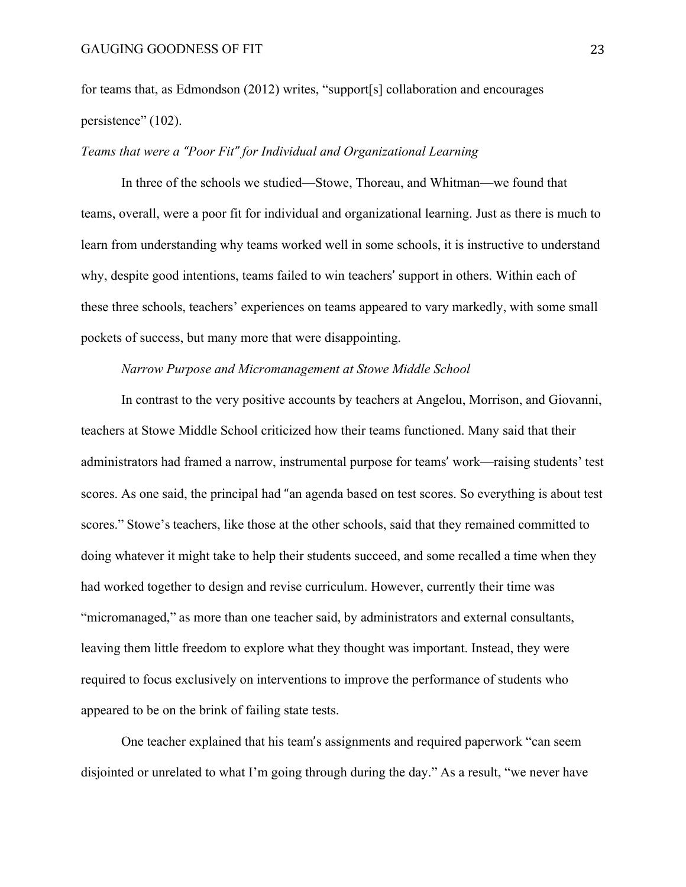for teams that, as Edmondson (2012) writes, "support[s] collaboration and encourages persistence" (102).

### *Teams that were a "Poor Fit" for Individual and Organizational Learning*

In three of the schools we studied—Stowe, Thoreau, and Whitman—we found that teams, overall, were a poor fit for individual and organizational learning. Just as there is much to learn from understanding why teams worked well in some schools, it is instructive to understand why, despite good intentions, teams failed to win teachers' support in others. Within each of these three schools, teachers' experiences on teams appeared to vary markedly, with some small pockets of success, but many more that were disappointing.

### *Narrow Purpose and Micromanagement at Stowe Middle School*

In contrast to the very positive accounts by teachers at Angelou, Morrison, and Giovanni, teachers at Stowe Middle School criticized how their teams functioned. Many said that their administrators had framed a narrow, instrumental purpose for teams' work—raising students' test scores. As one said, the principal had "an agenda based on test scores. So everything is about test scores." Stowe's teachers, like those at the other schools, said that they remained committed to doing whatever it might take to help their students succeed, and some recalled a time when they had worked together to design and revise curriculum. However, currently their time was "micromanaged," as more than one teacher said, by administrators and external consultants, leaving them little freedom to explore what they thought was important. Instead, they were required to focus exclusively on interventions to improve the performance of students who appeared to be on the brink of failing state tests.

One teacher explained that his team's assignments and required paperwork "can seem disjointed or unrelated to what I'm going through during the day." As a result, "we never have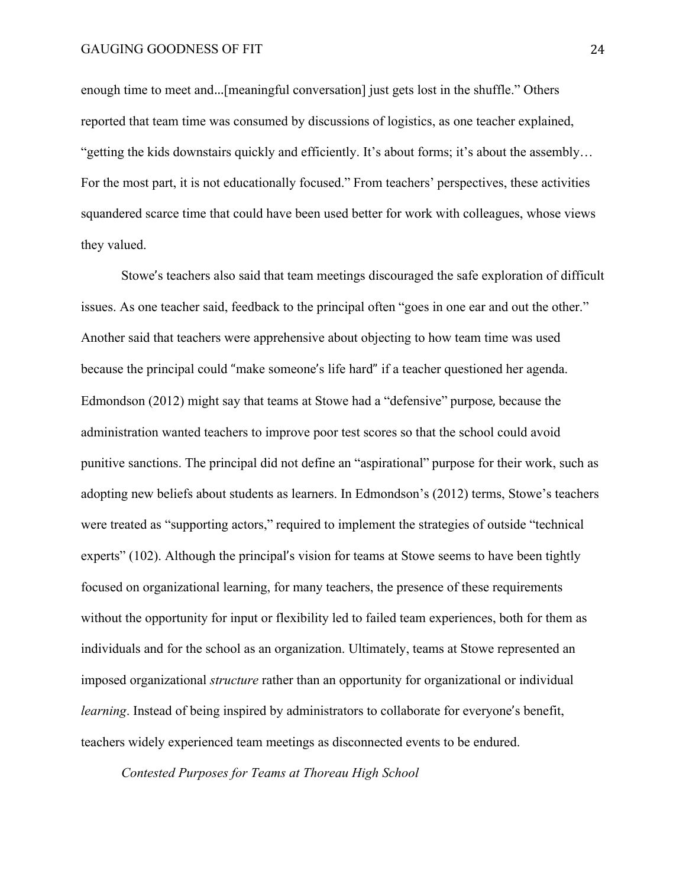enough time to meet and…[meaningful conversation] just gets lost in the shuffle." Others reported that team time was consumed by discussions of logistics, as one teacher explained, "getting the kids downstairs quickly and efficiently. It's about forms; it's about the assembly… For the most part, it is not educationally focused." From teachers' perspectives, these activities squandered scarce time that could have been used better for work with colleagues, whose views they valued.

Stowe's teachers also said that team meetings discouraged the safe exploration of difficult issues. As one teacher said, feedback to the principal often "goes in one ear and out the other." Another said that teachers were apprehensive about objecting to how team time was used because the principal could "make someone's life hard" if a teacher questioned her agenda. Edmondson (2012) might say that teams at Stowe had a "defensive" purpose, because the administration wanted teachers to improve poor test scores so that the school could avoid punitive sanctions. The principal did not define an "aspirational" purpose for their work, such as adopting new beliefs about students as learners. In Edmondson's (2012) terms, Stowe's teachers were treated as "supporting actors," required to implement the strategies of outside "technical experts" (102). Although the principal's vision for teams at Stowe seems to have been tightly focused on organizational learning, for many teachers, the presence of these requirements without the opportunity for input or flexibility led to failed team experiences, both for them as individuals and for the school as an organization. Ultimately, teams at Stowe represented an imposed organizational *structure* rather than an opportunity for organizational or individual *learning*. Instead of being inspired by administrators to collaborate for everyone's benefit, teachers widely experienced team meetings as disconnected events to be endured.

*Contested Purposes for Teams at Thoreau High School*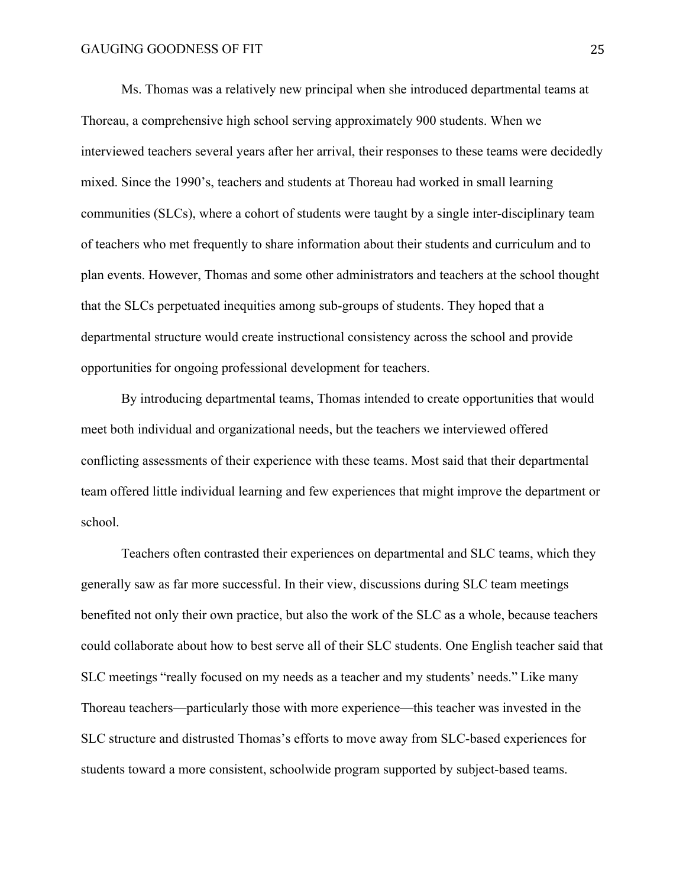Ms. Thomas was a relatively new principal when she introduced departmental teams at Thoreau, a comprehensive high school serving approximately 900 students. When we interviewed teachers several years after her arrival, their responses to these teams were decidedly mixed. Since the 1990's, teachers and students at Thoreau had worked in small learning communities (SLCs), where a cohort of students were taught by a single inter-disciplinary team of teachers who met frequently to share information about their students and curriculum and to plan events. However, Thomas and some other administrators and teachers at the school thought that the SLCs perpetuated inequities among sub-groups of students. They hoped that a departmental structure would create instructional consistency across the school and provide opportunities for ongoing professional development for teachers.

By introducing departmental teams, Thomas intended to create opportunities that would meet both individual and organizational needs, but the teachers we interviewed offered conflicting assessments of their experience with these teams. Most said that their departmental team offered little individual learning and few experiences that might improve the department or school.

Teachers often contrasted their experiences on departmental and SLC teams, which they generally saw as far more successful. In their view, discussions during SLC team meetings benefited not only their own practice, but also the work of the SLC as a whole, because teachers could collaborate about how to best serve all of their SLC students. One English teacher said that SLC meetings "really focused on my needs as a teacher and my students' needs." Like many Thoreau teachers—particularly those with more experience—this teacher was invested in the SLC structure and distrusted Thomas's efforts to move away from SLC-based experiences for students toward a more consistent, schoolwide program supported by subject-based teams.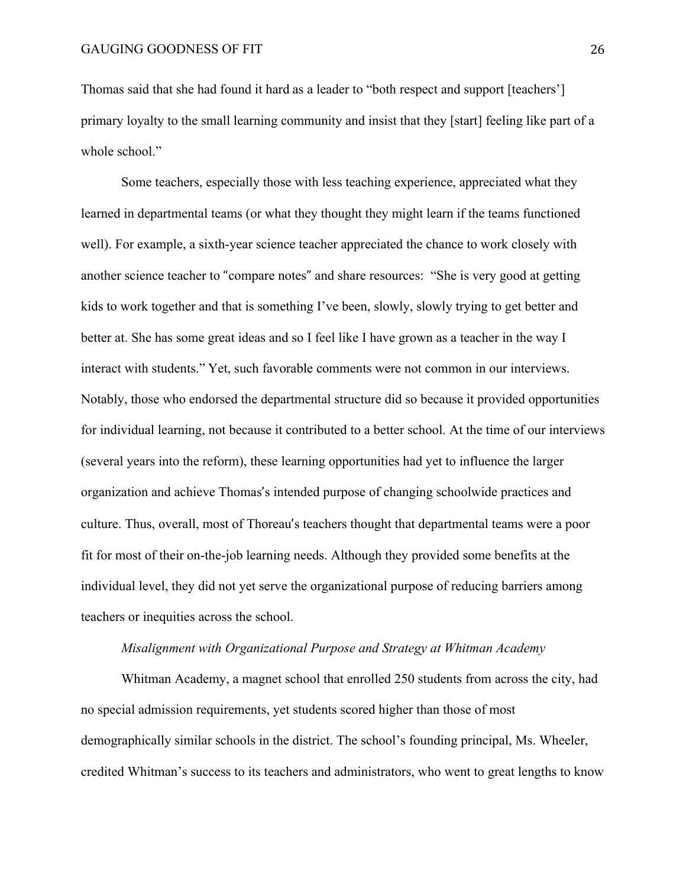Thomas said that she had found it hard as a leader to "both respect and support [teachers'] primary loyalty to the small learning community and insist that they [start] feeling like part of a whole school."

Some teachers, especially those with less teaching experience, appreciated what they learned in departmental teams (or what they thought they might learn if the teams functioned well). For example, a sixth-year science teacher appreciated the chance to work closely with another science teacher to "compare notes" and share resources: "She is very good at getting kids to work together and that is something I've been, slowly, slowly trying to get better and better at. She has some great ideas and so I feel like I have grown as a teacher in the way I interact with students." Yet, such favorable comments were not common in our interviews. Notably, those who endorsed the departmental structure did so because it provided opportunities for individual learning, not because it contributed to a better school. At the time of our interviews (several years into the reform), these learning opportunities had yet to influence the larger organization and achieve Thomas's intended purpose of changing schoolwide practices and culture. Thus, overall, most of Thoreau's teachers thought that departmental teams were a poor fit for most of their on-the-job learning needs. Although they provided some benefits at the individual level, they did not yet serve the organizational purpose of reducing barriers among teachers or inequities across the school.

# *Misalignment with Organizational Purpose and Strategy at Whitman Academy*

Whitman Academy, a magnet school that enrolled 250 students from across the city, had no special admission requirements, yet students scored higher than those of most demographically similar schools in the district. The school's founding principal, Ms. Wheeler, credited Whitman's success to its teachers and administrators, who went to great lengths to know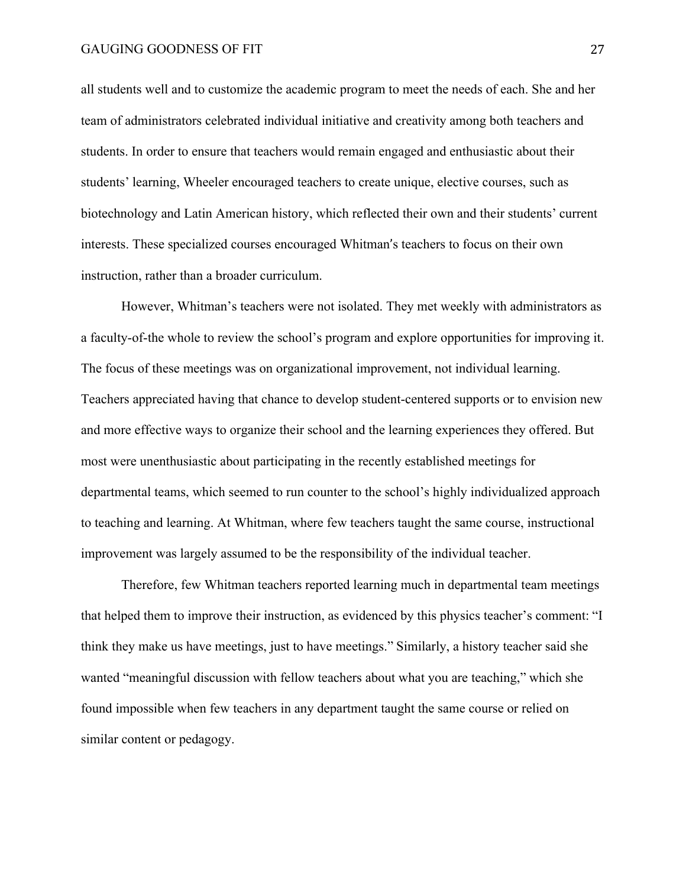all students well and to customize the academic program to meet the needs of each. She and her team of administrators celebrated individual initiative and creativity among both teachers and students. In order to ensure that teachers would remain engaged and enthusiastic about their students' learning, Wheeler encouraged teachers to create unique, elective courses, such as biotechnology and Latin American history, which reflected their own and their students' current interests. These specialized courses encouraged Whitman's teachers to focus on their own instruction, rather than a broader curriculum.

However, Whitman's teachers were not isolated. They met weekly with administrators as a faculty-of-the whole to review the school's program and explore opportunities for improving it. The focus of these meetings was on organizational improvement, not individual learning. Teachers appreciated having that chance to develop student-centered supports or to envision new and more effective ways to organize their school and the learning experiences they offered. But most were unenthusiastic about participating in the recently established meetings for departmental teams, which seemed to run counter to the school's highly individualized approach to teaching and learning. At Whitman, where few teachers taught the same course, instructional improvement was largely assumed to be the responsibility of the individual teacher.

Therefore, few Whitman teachers reported learning much in departmental team meetings that helped them to improve their instruction, as evidenced by this physics teacher's comment: "I think they make us have meetings, just to have meetings." Similarly, a history teacher said she wanted "meaningful discussion with fellow teachers about what you are teaching," which she found impossible when few teachers in any department taught the same course or relied on similar content or pedagogy.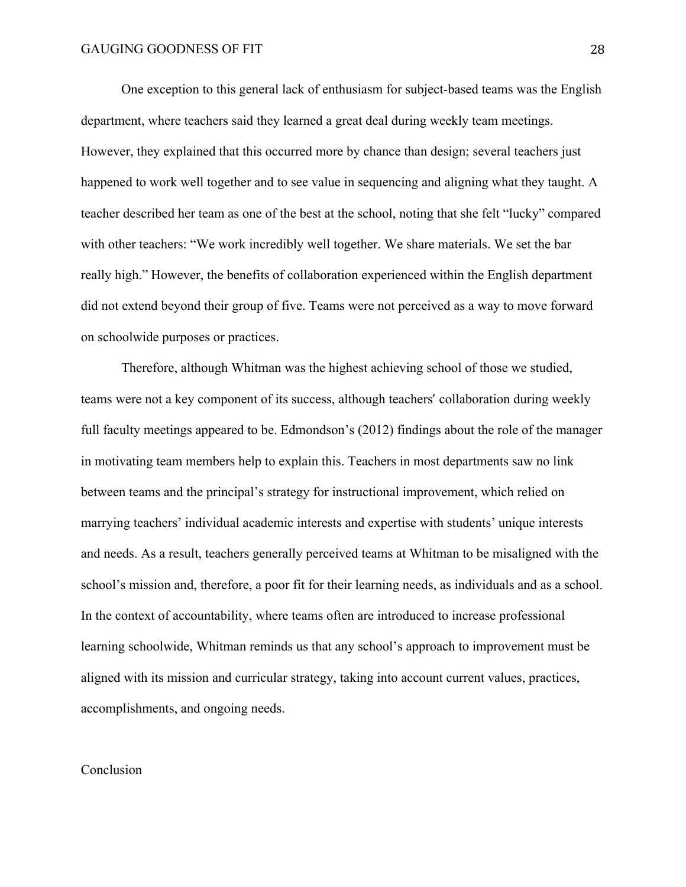One exception to this general lack of enthusiasm for subject-based teams was the English department, where teachers said they learned a great deal during weekly team meetings. However, they explained that this occurred more by chance than design; several teachers just happened to work well together and to see value in sequencing and aligning what they taught. A teacher described her team as one of the best at the school, noting that she felt "lucky" compared with other teachers: "We work incredibly well together. We share materials. We set the bar really high." However, the benefits of collaboration experienced within the English department did not extend beyond their group of five. Teams were not perceived as a way to move forward on schoolwide purposes or practices.

Therefore, although Whitman was the highest achieving school of those we studied, teams were not a key component of its success, although teachers' collaboration during weekly full faculty meetings appeared to be. Edmondson's (2012) findings about the role of the manager in motivating team members help to explain this. Teachers in most departments saw no link between teams and the principal's strategy for instructional improvement, which relied on marrying teachers' individual academic interests and expertise with students' unique interests and needs. As a result, teachers generally perceived teams at Whitman to be misaligned with the school's mission and, therefore, a poor fit for their learning needs, as individuals and as a school. In the context of accountability, where teams often are introduced to increase professional learning schoolwide, Whitman reminds us that any school's approach to improvement must be aligned with its mission and curricular strategy, taking into account current values, practices, accomplishments, and ongoing needs.

# Conclusion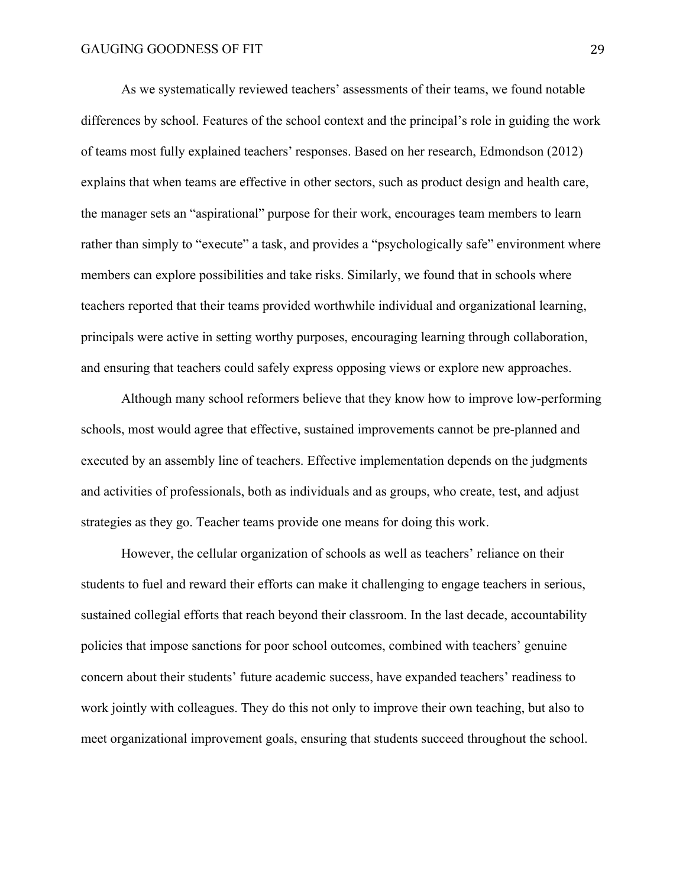As we systematically reviewed teachers' assessments of their teams, we found notable differences by school. Features of the school context and the principal's role in guiding the work of teams most fully explained teachers' responses. Based on her research, Edmondson (2012) explains that when teams are effective in other sectors, such as product design and health care, the manager sets an "aspirational" purpose for their work, encourages team members to learn rather than simply to "execute" a task, and provides a "psychologically safe" environment where members can explore possibilities and take risks. Similarly, we found that in schools where teachers reported that their teams provided worthwhile individual and organizational learning, principals were active in setting worthy purposes, encouraging learning through collaboration, and ensuring that teachers could safely express opposing views or explore new approaches.

Although many school reformers believe that they know how to improve low-performing schools, most would agree that effective, sustained improvements cannot be pre-planned and executed by an assembly line of teachers. Effective implementation depends on the judgments and activities of professionals, both as individuals and as groups, who create, test, and adjust strategies as they go. Teacher teams provide one means for doing this work.

However, the cellular organization of schools as well as teachers' reliance on their students to fuel and reward their efforts can make it challenging to engage teachers in serious, sustained collegial efforts that reach beyond their classroom. In the last decade, accountability policies that impose sanctions for poor school outcomes, combined with teachers' genuine concern about their students' future academic success, have expanded teachers' readiness to work jointly with colleagues. They do this not only to improve their own teaching, but also to meet organizational improvement goals, ensuring that students succeed throughout the school.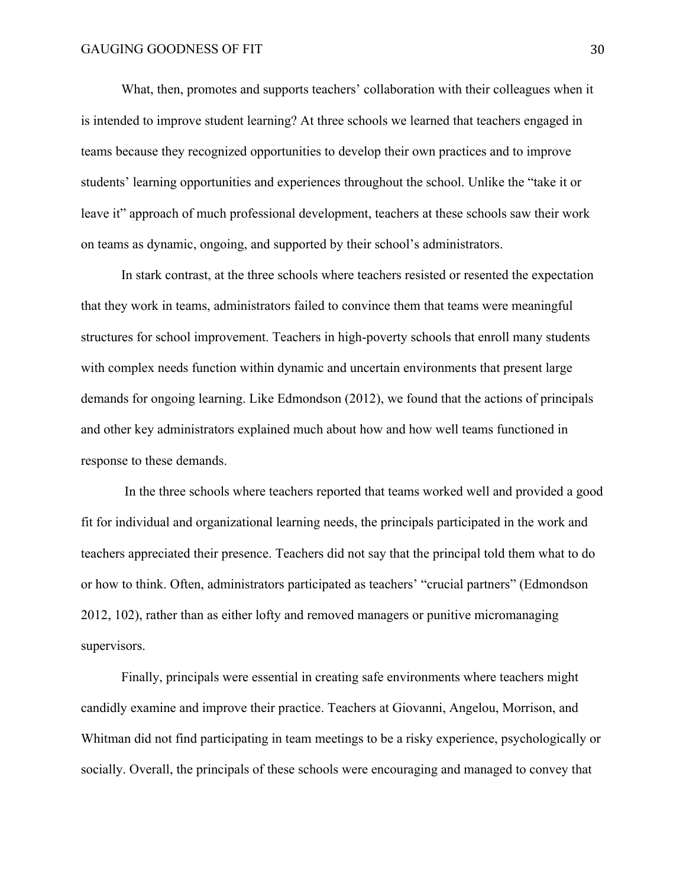What, then, promotes and supports teachers' collaboration with their colleagues when it is intended to improve student learning? At three schools we learned that teachers engaged in teams because they recognized opportunities to develop their own practices and to improve students' learning opportunities and experiences throughout the school. Unlike the "take it or leave it" approach of much professional development, teachers at these schools saw their work on teams as dynamic, ongoing, and supported by their school's administrators.

In stark contrast, at the three schools where teachers resisted or resented the expectation that they work in teams, administrators failed to convince them that teams were meaningful structures for school improvement. Teachers in high-poverty schools that enroll many students with complex needs function within dynamic and uncertain environments that present large demands for ongoing learning. Like Edmondson (2012), we found that the actions of principals and other key administrators explained much about how and how well teams functioned in response to these demands.

In the three schools where teachers reported that teams worked well and provided a good fit for individual and organizational learning needs, the principals participated in the work and teachers appreciated their presence. Teachers did not say that the principal told them what to do or how to think. Often, administrators participated as teachers' "crucial partners" (Edmondson 2012, 102), rather than as either lofty and removed managers or punitive micromanaging supervisors.

Finally, principals were essential in creating safe environments where teachers might candidly examine and improve their practice. Teachers at Giovanni, Angelou, Morrison, and Whitman did not find participating in team meetings to be a risky experience, psychologically or socially. Overall, the principals of these schools were encouraging and managed to convey that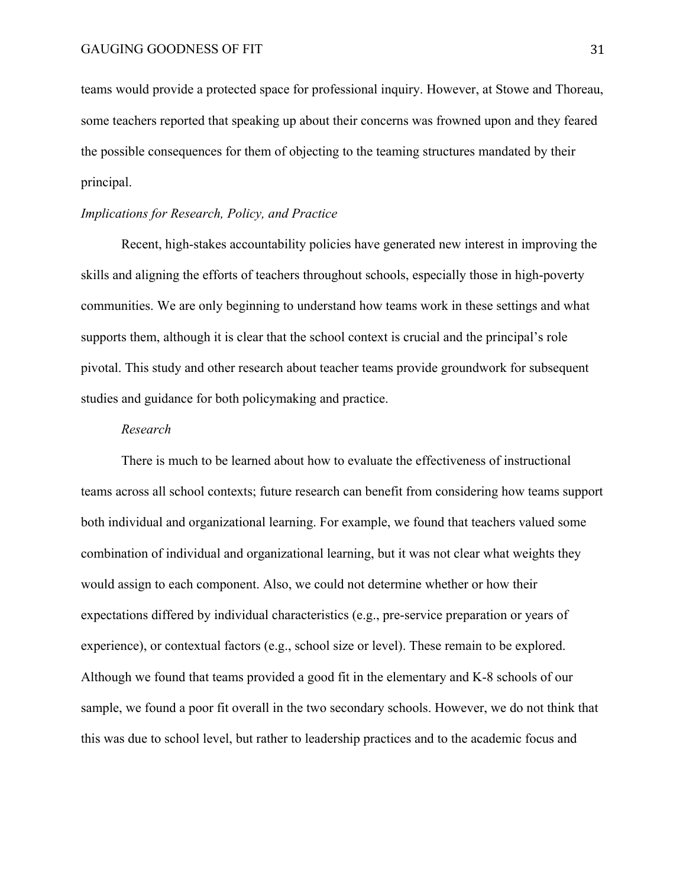teams would provide a protected space for professional inquiry. However, at Stowe and Thoreau, some teachers reported that speaking up about their concerns was frowned upon and they feared the possible consequences for them of objecting to the teaming structures mandated by their principal.

### *Implications for Research, Policy, and Practice*

Recent, high-stakes accountability policies have generated new interest in improving the skills and aligning the efforts of teachers throughout schools, especially those in high-poverty communities. We are only beginning to understand how teams work in these settings and what supports them, although it is clear that the school context is crucial and the principal's role pivotal. This study and other research about teacher teams provide groundwork for subsequent studies and guidance for both policymaking and practice.

### *Research*

There is much to be learned about how to evaluate the effectiveness of instructional teams across all school contexts; future research can benefit from considering how teams support both individual and organizational learning. For example, we found that teachers valued some combination of individual and organizational learning, but it was not clear what weights they would assign to each component. Also, we could not determine whether or how their expectations differed by individual characteristics (e.g., pre-service preparation or years of experience), or contextual factors (e.g., school size or level). These remain to be explored. Although we found that teams provided a good fit in the elementary and K-8 schools of our sample, we found a poor fit overall in the two secondary schools. However, we do not think that this was due to school level, but rather to leadership practices and to the academic focus and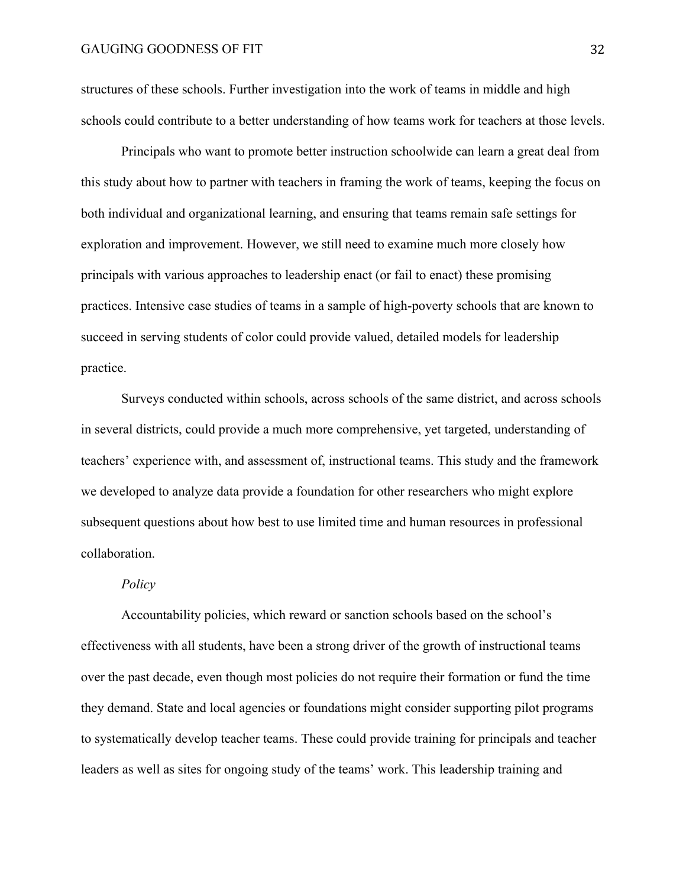structures of these schools. Further investigation into the work of teams in middle and high schools could contribute to a better understanding of how teams work for teachers at those levels.

Principals who want to promote better instruction schoolwide can learn a great deal from this study about how to partner with teachers in framing the work of teams, keeping the focus on both individual and organizational learning, and ensuring that teams remain safe settings for exploration and improvement. However, we still need to examine much more closely how principals with various approaches to leadership enact (or fail to enact) these promising practices. Intensive case studies of teams in a sample of high-poverty schools that are known to succeed in serving students of color could provide valued, detailed models for leadership practice.

Surveys conducted within schools, across schools of the same district, and across schools in several districts, could provide a much more comprehensive, yet targeted, understanding of teachers' experience with, and assessment of, instructional teams. This study and the framework we developed to analyze data provide a foundation for other researchers who might explore subsequent questions about how best to use limited time and human resources in professional collaboration.

# *Policy*

Accountability policies, which reward or sanction schools based on the school's effectiveness with all students, have been a strong driver of the growth of instructional teams over the past decade, even though most policies do not require their formation or fund the time they demand. State and local agencies or foundations might consider supporting pilot programs to systematically develop teacher teams. These could provide training for principals and teacher leaders as well as sites for ongoing study of the teams' work. This leadership training and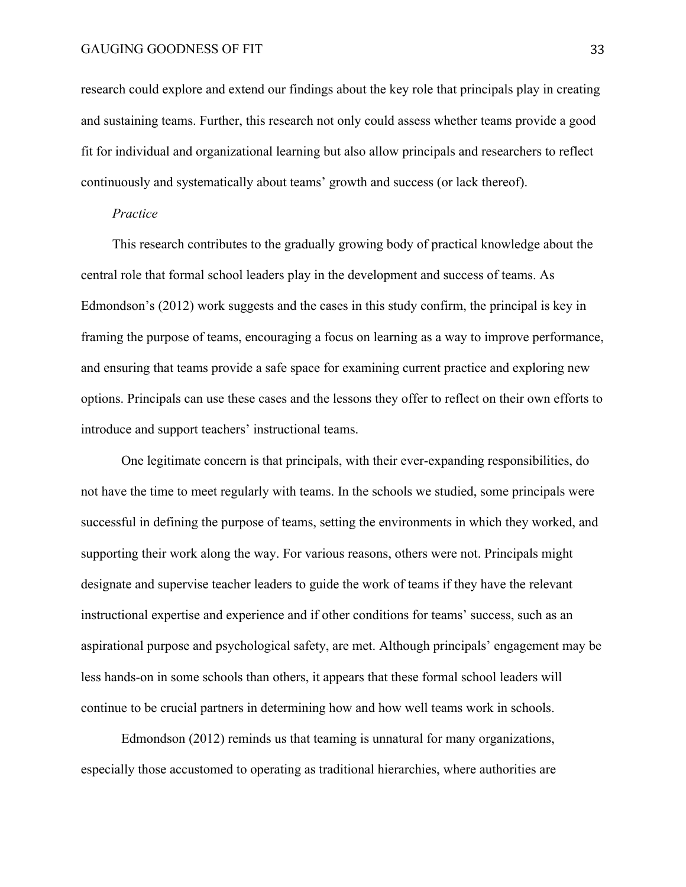research could explore and extend our findings about the key role that principals play in creating and sustaining teams. Further, this research not only could assess whether teams provide a good fit for individual and organizational learning but also allow principals and researchers to reflect continuously and systematically about teams' growth and success (or lack thereof).

#### *Practice*

This research contributes to the gradually growing body of practical knowledge about the central role that formal school leaders play in the development and success of teams. As Edmondson's (2012) work suggests and the cases in this study confirm, the principal is key in framing the purpose of teams, encouraging a focus on learning as a way to improve performance, and ensuring that teams provide a safe space for examining current practice and exploring new options. Principals can use these cases and the lessons they offer to reflect on their own efforts to introduce and support teachers' instructional teams.

One legitimate concern is that principals, with their ever-expanding responsibilities, do not have the time to meet regularly with teams. In the schools we studied, some principals were successful in defining the purpose of teams, setting the environments in which they worked, and supporting their work along the way. For various reasons, others were not. Principals might designate and supervise teacher leaders to guide the work of teams if they have the relevant instructional expertise and experience and if other conditions for teams' success, such as an aspirational purpose and psychological safety, are met. Although principals' engagement may be less hands-on in some schools than others, it appears that these formal school leaders will continue to be crucial partners in determining how and how well teams work in schools.

Edmondson (2012) reminds us that teaming is unnatural for many organizations, especially those accustomed to operating as traditional hierarchies, where authorities are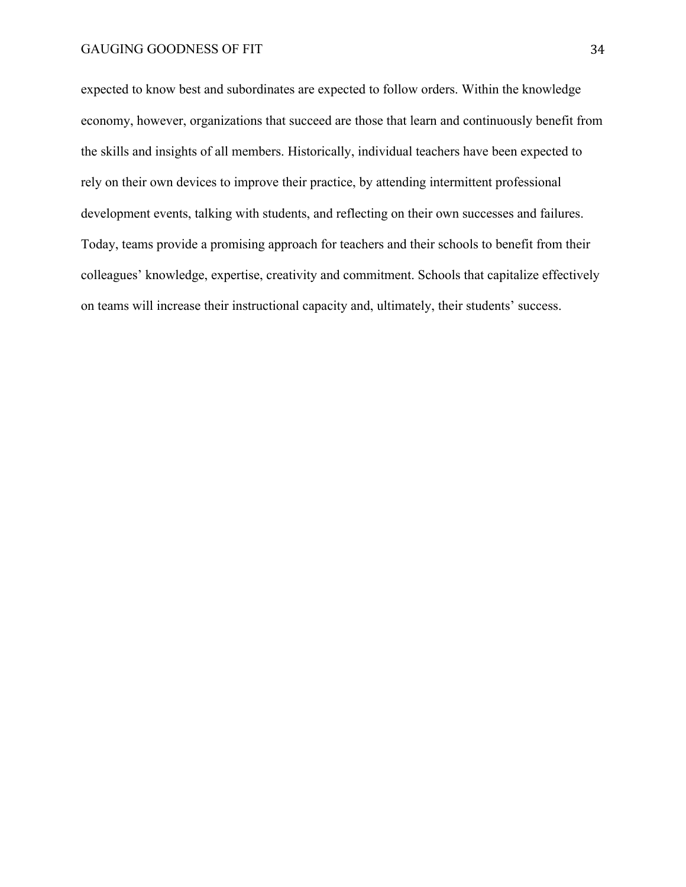expected to know best and subordinates are expected to follow orders. Within the knowledge economy, however, organizations that succeed are those that learn and continuously benefit from the skills and insights of all members. Historically, individual teachers have been expected to rely on their own devices to improve their practice, by attending intermittent professional development events, talking with students, and reflecting on their own successes and failures. Today, teams provide a promising approach for teachers and their schools to benefit from their colleagues' knowledge, expertise, creativity and commitment. Schools that capitalize effectively on teams will increase their instructional capacity and, ultimately, their students' success.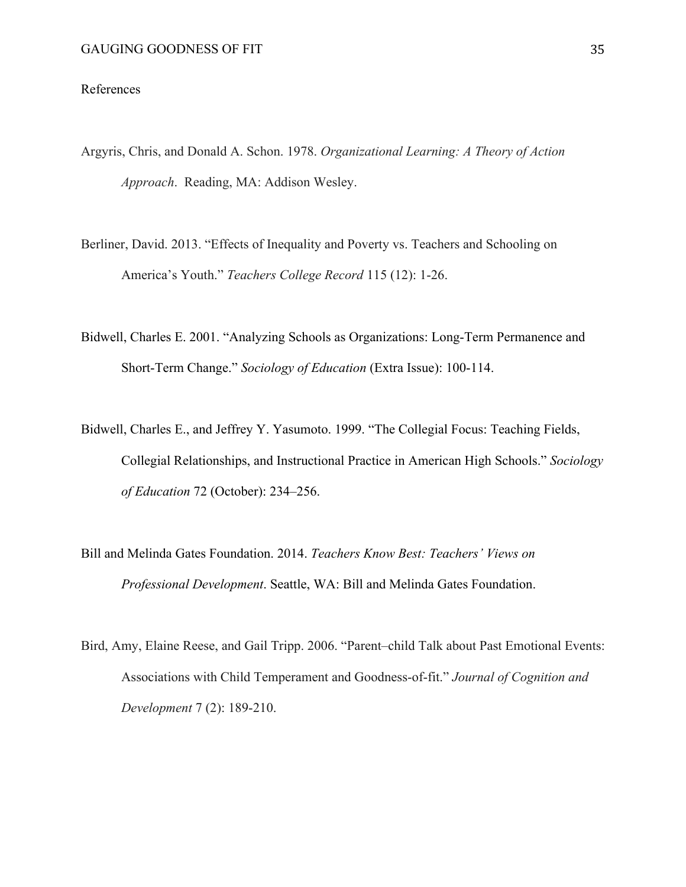# References

- Argyris, Chris, and Donald A. Schon. 1978. *Organizational Learning: A Theory of Action Approach*. Reading, MA: Addison Wesley.
- Berliner, David. 2013. "Effects of Inequality and Poverty vs. Teachers and Schooling on America's Youth." *Teachers College Record* 115 (12): 1-26.
- Bidwell, Charles E. 2001. "Analyzing Schools as Organizations: Long-Term Permanence and Short-Term Change." *Sociology of Education* (Extra Issue): 100-114.
- Bidwell, Charles E., and Jeffrey Y. Yasumoto. 1999. "The Collegial Focus: Teaching Fields, Collegial Relationships, and Instructional Practice in American High Schools." *Sociology of Education* 72 (October): 234–256.
- Bill and Melinda Gates Foundation. 2014. *Teachers Know Best: Teachers' Views on Professional Development*. Seattle, WA: Bill and Melinda Gates Foundation.
- Bird, Amy, Elaine Reese, and Gail Tripp. 2006. "Parent–child Talk about Past Emotional Events: Associations with Child Temperament and Goodness-of-fit." *Journal of Cognition and Development* 7 (2): 189-210.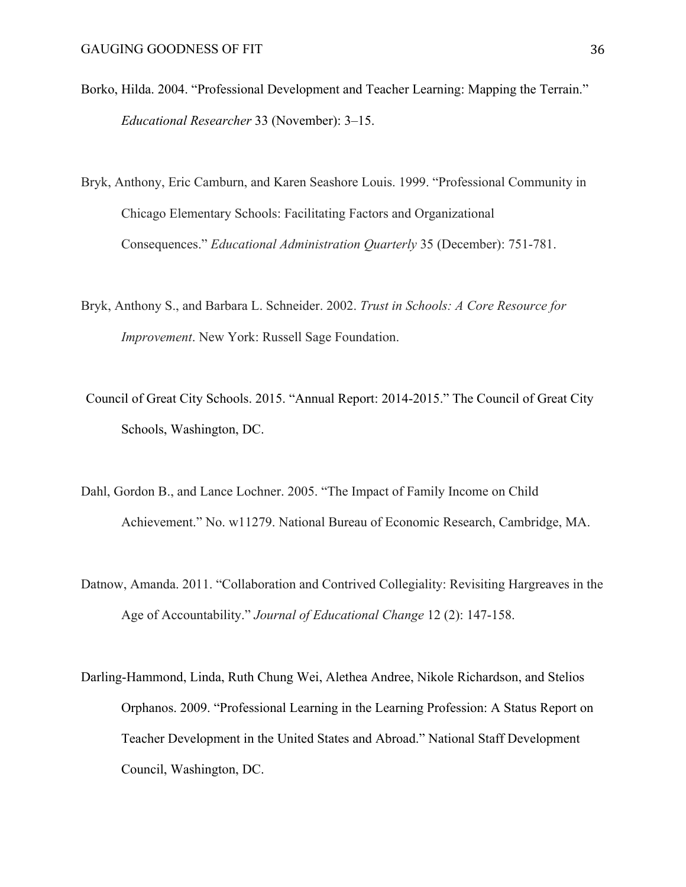- Borko, Hilda. 2004. "Professional Development and Teacher Learning: Mapping the Terrain." *Educational Researcher* 33 (November): 3–15.
- Bryk, Anthony, Eric Camburn, and Karen Seashore Louis. 1999. "Professional Community in Chicago Elementary Schools: Facilitating Factors and Organizational Consequences." *Educational Administration Quarterly* 35 (December): 751-781.
- Bryk, Anthony S., and Barbara L. Schneider. 2002. *Trust in Schools: A Core Resource for Improvement*. New York: Russell Sage Foundation.
- Council of Great City Schools. 2015. "Annual Report: 2014-2015." The Council of Great City Schools, Washington, DC.
- Dahl, Gordon B., and Lance Lochner. 2005. "The Impact of Family Income on Child Achievement." No. w11279. National Bureau of Economic Research, Cambridge, MA.
- Datnow, Amanda. 2011. "Collaboration and Contrived Collegiality: Revisiting Hargreaves in the Age of Accountability." *Journal of Educational Change* 12 (2): 147-158.
- Darling-Hammond, Linda, Ruth Chung Wei, Alethea Andree, Nikole Richardson, and Stelios Orphanos. 2009. "Professional Learning in the Learning Profession: A Status Report on Teacher Development in the United States and Abroad." National Staff Development Council, Washington, DC.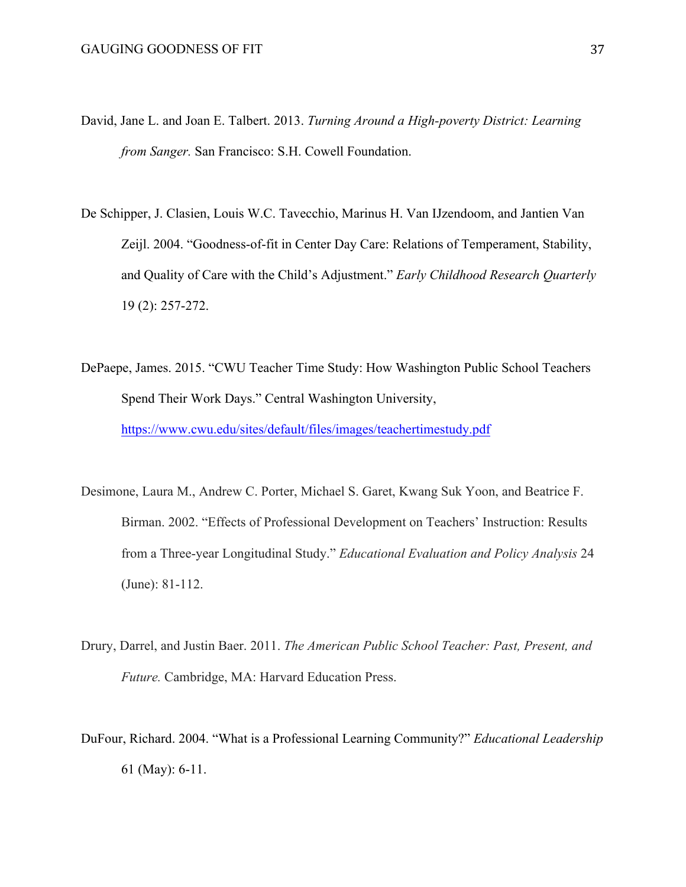- David, Jane L. and Joan E. Talbert. 2013. *Turning Around a High-poverty District: Learning from Sanger.* San Francisco: S.H. Cowell Foundation.
- De Schipper, J. Clasien, Louis W.C. Tavecchio, Marinus H. Van IJzendoom, and Jantien Van Zeijl. 2004. "Goodness-of-fit in Center Day Care: Relations of Temperament, Stability, and Quality of Care with the Child's Adjustment." *Early Childhood Research Quarterly*  19 (2): 257-272.
- DePaepe, James. 2015. "CWU Teacher Time Study: How Washington Public School Teachers Spend Their Work Days." Central Washington University, https://www.cwu.edu/sites/default/files/images/teachertimestudy.pdf
- Desimone, Laura M., Andrew C. Porter, Michael S. Garet, Kwang Suk Yoon, and Beatrice F. Birman. 2002. "Effects of Professional Development on Teachers' Instruction: Results from a Three-year Longitudinal Study." *Educational Evaluation and Policy Analysis* 24 (June): 81-112.
- Drury, Darrel, and Justin Baer. 2011. *The American Public School Teacher: Past, Present, and Future.* Cambridge, MA: Harvard Education Press.
- DuFour, Richard. 2004. "What is a Professional Learning Community?" *Educational Leadership* 61 (May): 6-11.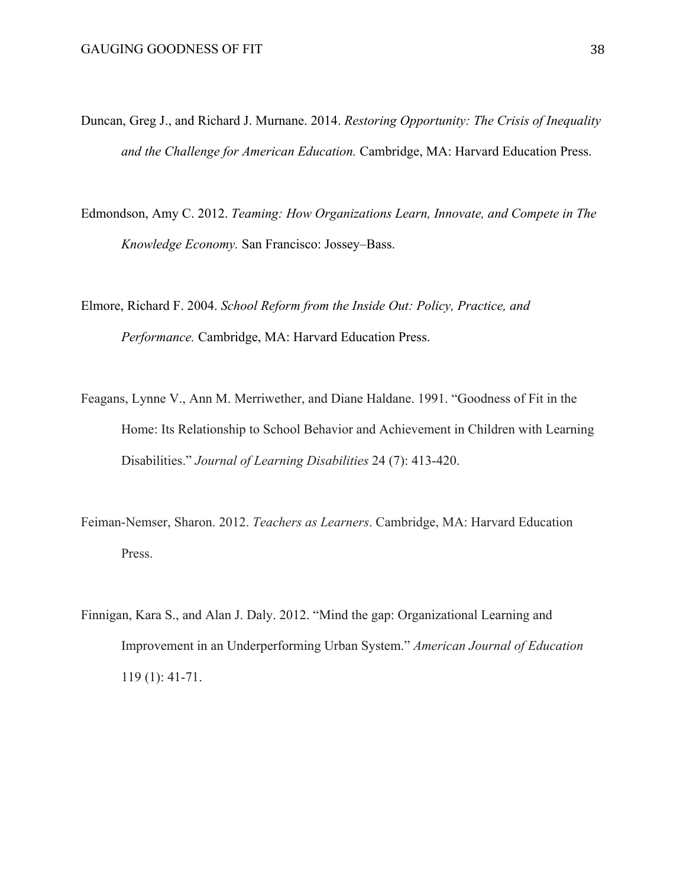- Duncan, Greg J., and Richard J. Murnane. 2014. *Restoring Opportunity: The Crisis of Inequality and the Challenge for American Education.* Cambridge, MA: Harvard Education Press.
- Edmondson, Amy C. 2012. *Teaming: How Organizations Learn, Innovate, and Compete in The Knowledge Economy.* San Francisco: Jossey–Bass.
- Elmore, Richard F. 2004. *School Reform from the Inside Out: Policy, Practice, and Performance.* Cambridge, MA: Harvard Education Press.
- Feagans, Lynne V., Ann M. Merriwether, and Diane Haldane. 1991. "Goodness of Fit in the Home: Its Relationship to School Behavior and Achievement in Children with Learning Disabilities." *Journal of Learning Disabilities* 24 (7): 413-420.
- Feiman-Nemser, Sharon. 2012. *Teachers as Learners*. Cambridge, MA: Harvard Education Press.
- Finnigan, Kara S., and Alan J. Daly. 2012. "Mind the gap: Organizational Learning and Improvement in an Underperforming Urban System." *American Journal of Education* 119 (1): 41-71.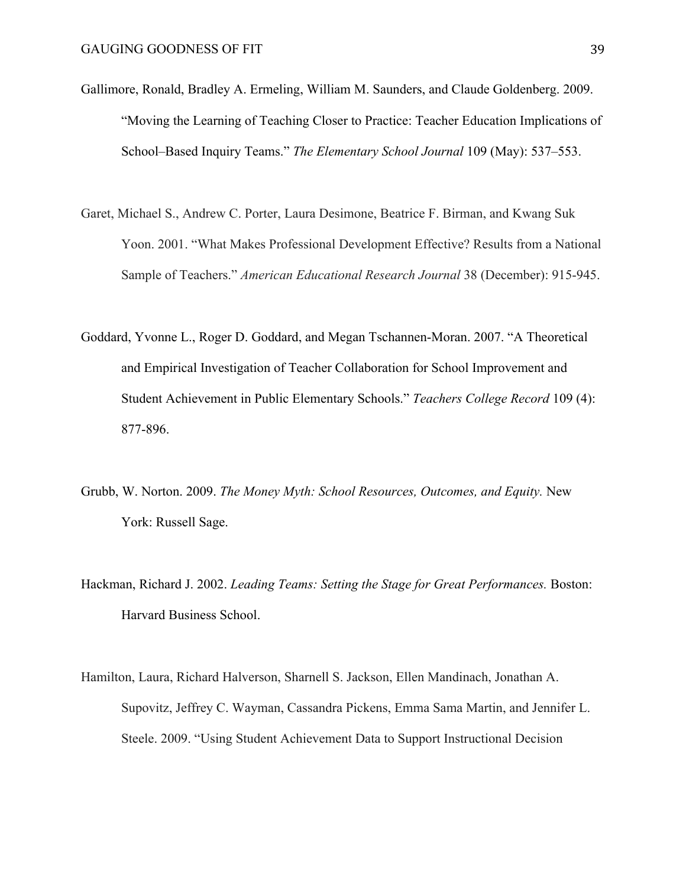- Gallimore, Ronald, Bradley A. Ermeling, William M. Saunders, and Claude Goldenberg. 2009. "Moving the Learning of Teaching Closer to Practice: Teacher Education Implications of School–Based Inquiry Teams." *The Elementary School Journal* 109 (May): 537–553.
- Garet, Michael S., Andrew C. Porter, Laura Desimone, Beatrice F. Birman, and Kwang Suk Yoon. 2001. "What Makes Professional Development Effective? Results from a National Sample of Teachers." *American Educational Research Journal* 38 (December): 915-945.
- Goddard, Yvonne L., Roger D. Goddard, and Megan Tschannen-Moran. 2007. "A Theoretical and Empirical Investigation of Teacher Collaboration for School Improvement and Student Achievement in Public Elementary Schools." *Teachers College Record* 109 (4): 877-896.
- Grubb, W. Norton. 2009. *The Money Myth: School Resources, Outcomes, and Equity.* New York: Russell Sage.
- Hackman, Richard J. 2002. *Leading Teams: Setting the Stage for Great Performances.* Boston: Harvard Business School.
- Hamilton, Laura, Richard Halverson, Sharnell S. Jackson, Ellen Mandinach, Jonathan A. Supovitz, Jeffrey C. Wayman, Cassandra Pickens, Emma Sama Martin, and Jennifer L. Steele. 2009. "Using Student Achievement Data to Support Instructional Decision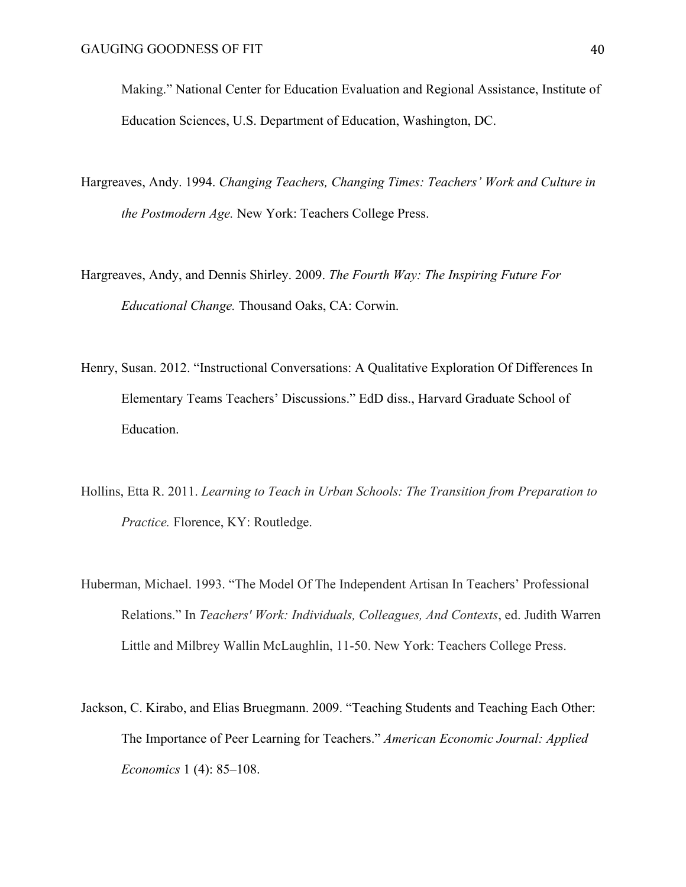Making." National Center for Education Evaluation and Regional Assistance, Institute of Education Sciences, U.S. Department of Education, Washington, DC.

- Hargreaves, Andy. 1994. *Changing Teachers, Changing Times: Teachers' Work and Culture in the Postmodern Age.* New York: Teachers College Press.
- Hargreaves, Andy, and Dennis Shirley. 2009. *The Fourth Way: The Inspiring Future For Educational Change.* Thousand Oaks, CA: Corwin.
- Henry, Susan. 2012. "Instructional Conversations: A Qualitative Exploration Of Differences In Elementary Teams Teachers' Discussions." EdD diss., Harvard Graduate School of Education.
- Hollins, Etta R. 2011. *Learning to Teach in Urban Schools: The Transition from Preparation to Practice.* Florence, KY: Routledge.
- Huberman, Michael. 1993. "The Model Of The Independent Artisan In Teachers' Professional Relations." In *Teachers' Work: Individuals, Colleagues, And Contexts*, ed. Judith Warren Little and Milbrey Wallin McLaughlin, 11-50. New York: Teachers College Press.
- Jackson, C. Kirabo, and Elias Bruegmann. 2009. "Teaching Students and Teaching Each Other: The Importance of Peer Learning for Teachers." *American Economic Journal: Applied Economics* 1 (4): 85–108.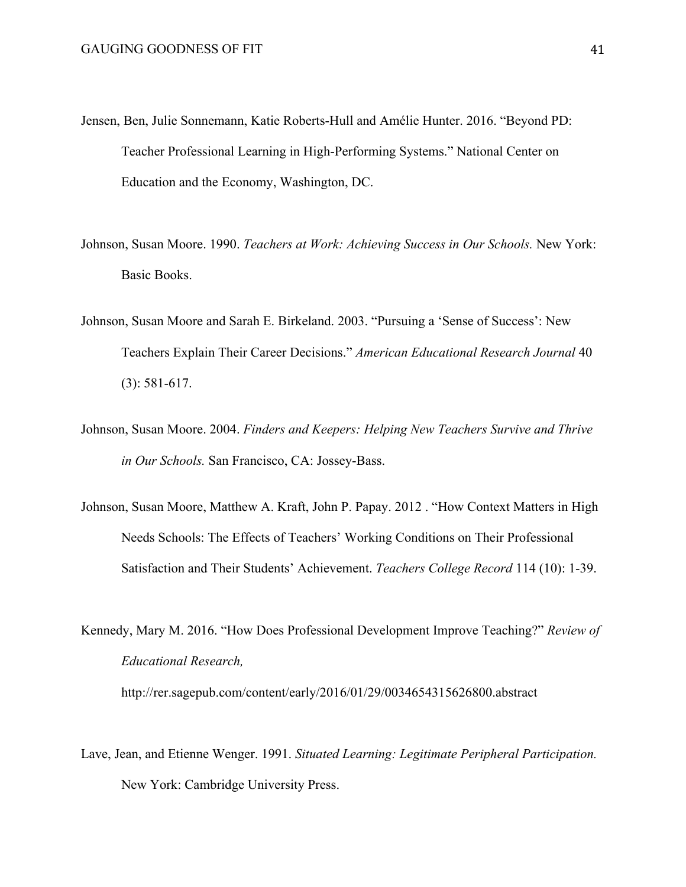- Jensen, Ben, Julie Sonnemann, Katie Roberts-Hull and Amélie Hunter. 2016. "Beyond PD: Teacher Professional Learning in High-Performing Systems." National Center on Education and the Economy, Washington, DC.
- Johnson, Susan Moore. 1990. *Teachers at Work: Achieving Success in Our Schools.* New York: Basic Books.
- Johnson, Susan Moore and Sarah E. Birkeland. 2003. "Pursuing a 'Sense of Success': New Teachers Explain Their Career Decisions." *American Educational Research Journal* 40 (3): 581-617.
- Johnson, Susan Moore. 2004. *Finders and Keepers: Helping New Teachers Survive and Thrive in Our Schools.* San Francisco, CA: Jossey-Bass.
- Johnson, Susan Moore, Matthew A. Kraft, John P. Papay. 2012 . "How Context Matters in High Needs Schools: The Effects of Teachers' Working Conditions on Their Professional Satisfaction and Their Students' Achievement. *Teachers College Record* 114 (10): 1-39.
- Kennedy, Mary M. 2016. "How Does Professional Development Improve Teaching?" *Review of Educational Research,* http://rer.sagepub.com/content/early/2016/01/29/0034654315626800.abstract
- Lave, Jean, and Etienne Wenger. 1991. *Situated Learning: Legitimate Peripheral Participation.* New York: Cambridge University Press.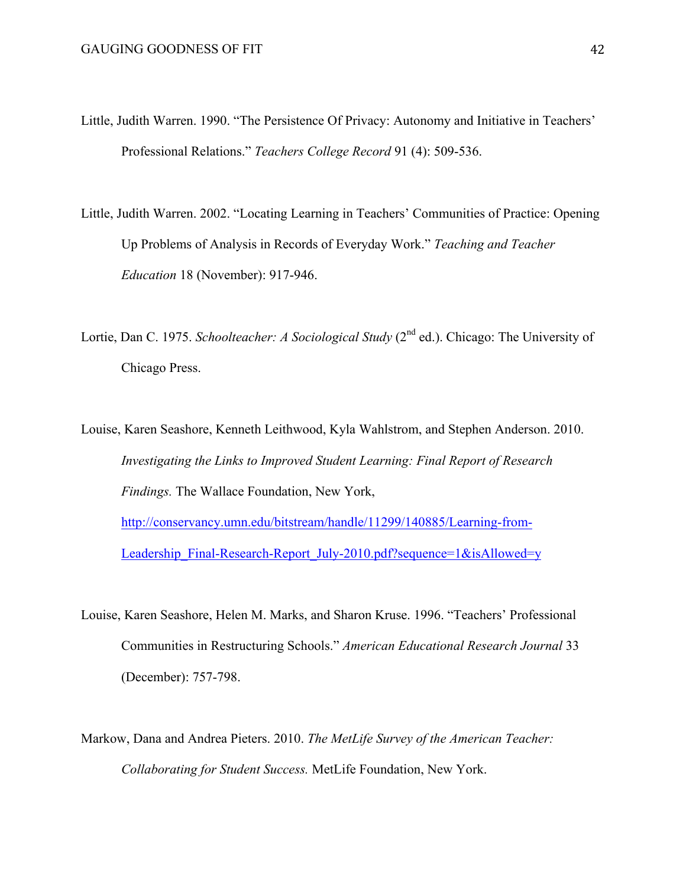- Little, Judith Warren. 1990. "The Persistence Of Privacy: Autonomy and Initiative in Teachers' Professional Relations." *Teachers College Record* 91 (4): 509-536.
- Little, Judith Warren. 2002. "Locating Learning in Teachers' Communities of Practice: Opening Up Problems of Analysis in Records of Everyday Work." *Teaching and Teacher Education* 18 (November): 917-946.
- Lortie, Dan C. 1975. *Schoolteacher: A Sociological Study* (2<sup>nd</sup> ed.). Chicago: The University of Chicago Press.
- Louise, Karen Seashore, Kenneth Leithwood, Kyla Wahlstrom, and Stephen Anderson. 2010. *Investigating the Links to Improved Student Learning: Final Report of Research Findings.* The Wallace Foundation, New York, http://conservancy.umn.edu/bitstream/handle/11299/140885/Learning-from-Leadership\_Final-Research-Report\_July-2010.pdf?sequence=1&isAllowed=y
- Louise, Karen Seashore, Helen M. Marks, and Sharon Kruse. 1996. "Teachers' Professional Communities in Restructuring Schools." *American Educational Research Journal* 33 (December): 757-798.
- Markow, Dana and Andrea Pieters. 2010. *The MetLife Survey of the American Teacher: Collaborating for Student Success.* MetLife Foundation, New York.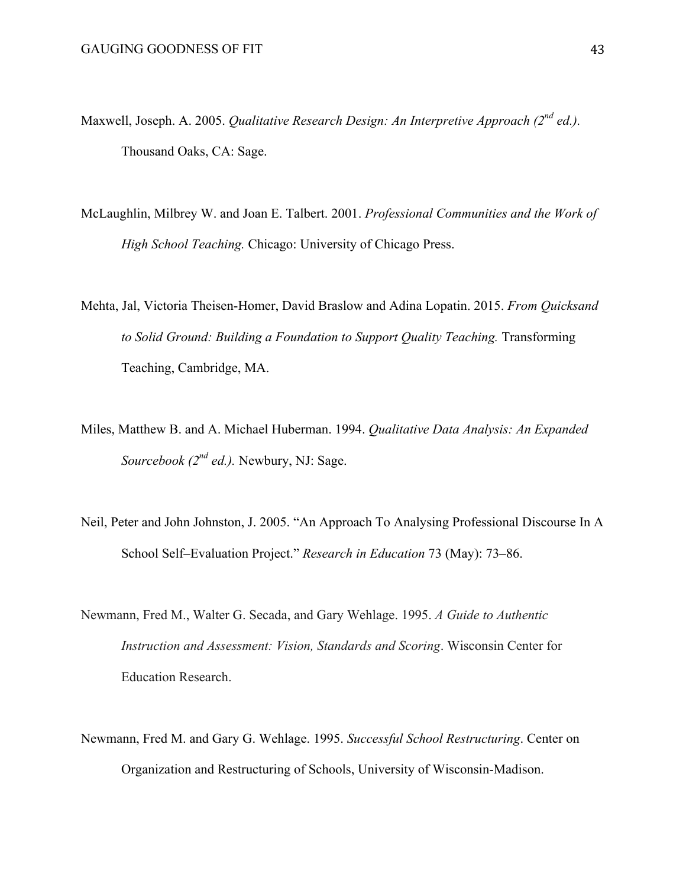- Maxwell, Joseph. A. 2005. *Qualitative Research Design: An Interpretive Approach (2nd ed.).*  Thousand Oaks, CA: Sage.
- McLaughlin, Milbrey W. and Joan E. Talbert. 2001. *Professional Communities and the Work of High School Teaching.* Chicago: University of Chicago Press.
- Mehta, Jal, Victoria Theisen-Homer, David Braslow and Adina Lopatin. 2015. *From Quicksand to Solid Ground: Building a Foundation to Support Quality Teaching.* Transforming Teaching, Cambridge, MA.
- Miles, Matthew B. and A. Michael Huberman. 1994. *Qualitative Data Analysis: An Expanded Sourcebook (2nd ed.).* Newbury, NJ: Sage.
- Neil, Peter and John Johnston, J. 2005. "An Approach To Analysing Professional Discourse In A School Self–Evaluation Project." *Research in Education* 73 (May): 73–86.
- Newmann, Fred M., Walter G. Secada, and Gary Wehlage. 1995. *A Guide to Authentic Instruction and Assessment: Vision, Standards and Scoring*. Wisconsin Center for Education Research.
- Newmann, Fred M. and Gary G. Wehlage. 1995. *Successful School Restructuring*. Center on Organization and Restructuring of Schools, University of Wisconsin-Madison.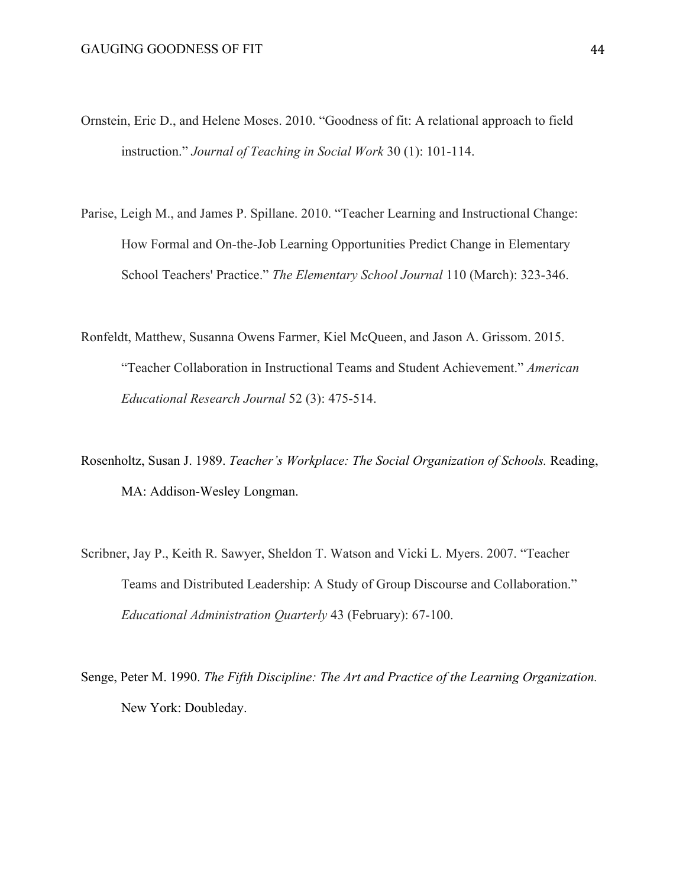- Ornstein, Eric D., and Helene Moses. 2010. "Goodness of fit: A relational approach to field instruction." *Journal of Teaching in Social Work* 30 (1): 101-114.
- Parise, Leigh M., and James P. Spillane. 2010. "Teacher Learning and Instructional Change: How Formal and On-the-Job Learning Opportunities Predict Change in Elementary School Teachers' Practice." *The Elementary School Journal* 110 (March): 323-346.
- Ronfeldt, Matthew, Susanna Owens Farmer, Kiel McQueen, and Jason A. Grissom. 2015. "Teacher Collaboration in Instructional Teams and Student Achievement." *American Educational Research Journal* 52 (3): 475-514.
- Rosenholtz, Susan J. 1989. *Teacher's Workplace: The Social Organization of Schools.* Reading, MA: Addison-Wesley Longman.
- Scribner, Jay P., Keith R. Sawyer, Sheldon T. Watson and Vicki L. Myers. 2007. "Teacher Teams and Distributed Leadership: A Study of Group Discourse and Collaboration." *Educational Administration Quarterly* 43 (February): 67-100.
- Senge, Peter M. 1990. *The Fifth Discipline: The Art and Practice of the Learning Organization.* New York: Doubleday.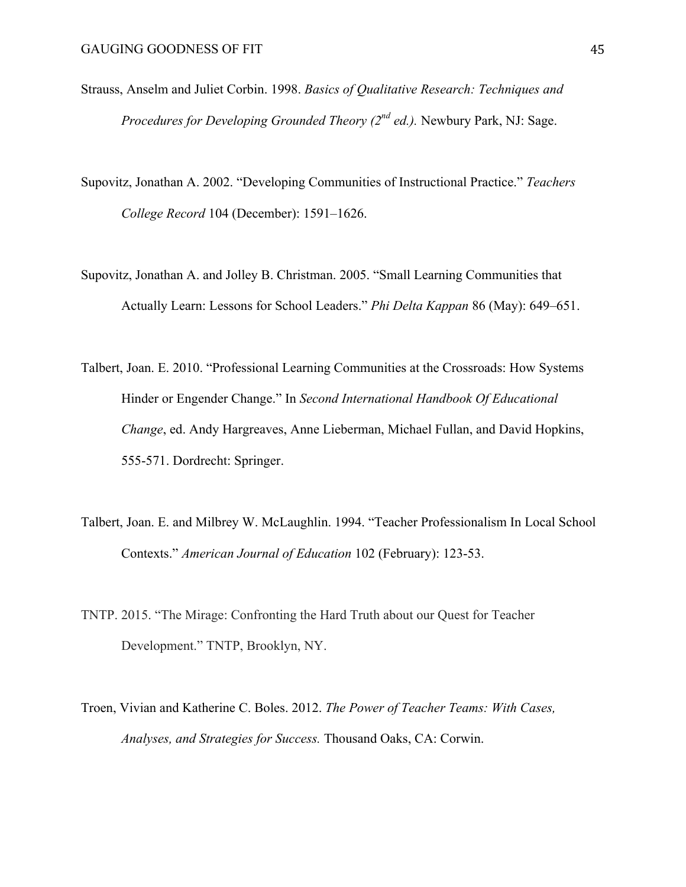- Strauss, Anselm and Juliet Corbin. 1998. *Basics of Qualitative Research: Techniques and Procedures for Developing Grounded Theory (2nd ed.).* Newbury Park, NJ: Sage.
- Supovitz, Jonathan A. 2002. "Developing Communities of Instructional Practice." *Teachers College Record* 104 (December): 1591–1626.
- Supovitz, Jonathan A. and Jolley B. Christman. 2005. "Small Learning Communities that Actually Learn: Lessons for School Leaders." *Phi Delta Kappan* 86 (May): 649–651.
- Talbert, Joan. E. 2010. "Professional Learning Communities at the Crossroads: How Systems Hinder or Engender Change." In *Second International Handbook Of Educational Change*, ed. Andy Hargreaves, Anne Lieberman, Michael Fullan, and David Hopkins, 555-571. Dordrecht: Springer.
- Talbert, Joan. E. and Milbrey W. McLaughlin. 1994. "Teacher Professionalism In Local School Contexts." *American Journal of Education* 102 (February): 123-53.
- TNTP. 2015. "The Mirage: Confronting the Hard Truth about our Quest for Teacher Development." TNTP, Brooklyn, NY.
- Troen, Vivian and Katherine C. Boles. 2012. *The Power of Teacher Teams: With Cases, Analyses, and Strategies for Success.* Thousand Oaks, CA: Corwin.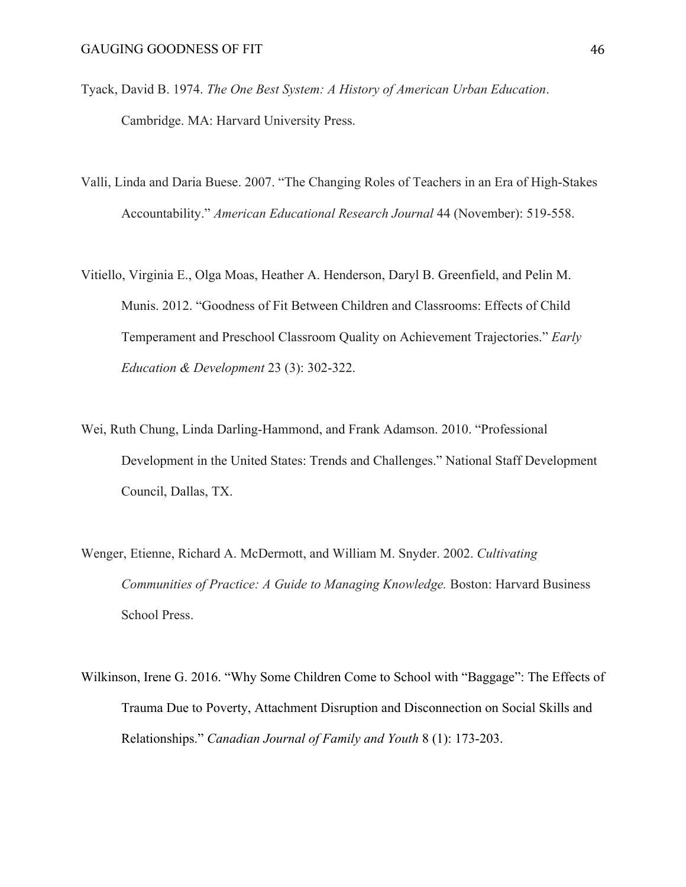- Tyack, David B. 1974. *The One Best System: A History of American Urban Education*. Cambridge. MA: Harvard University Press.
- Valli, Linda and Daria Buese. 2007. "The Changing Roles of Teachers in an Era of High-Stakes Accountability." *American Educational Research Journal* 44 (November): 519-558.
- Vitiello, Virginia E., Olga Moas, Heather A. Henderson, Daryl B. Greenfield, and Pelin M. Munis. 2012. "Goodness of Fit Between Children and Classrooms: Effects of Child Temperament and Preschool Classroom Quality on Achievement Trajectories." *Early Education & Development* 23 (3): 302-322.
- Wei, Ruth Chung, Linda Darling-Hammond, and Frank Adamson. 2010. "Professional Development in the United States: Trends and Challenges." National Staff Development Council, Dallas, TX.
- Wenger, Etienne, Richard A. McDermott, and William M. Snyder. 2002. *Cultivating Communities of Practice: A Guide to Managing Knowledge.* Boston: Harvard Business School Press.
- Wilkinson, Irene G. 2016. "Why Some Children Come to School with "Baggage": The Effects of Trauma Due to Poverty, Attachment Disruption and Disconnection on Social Skills and Relationships." *Canadian Journal of Family and Youth* 8 (1): 173-203.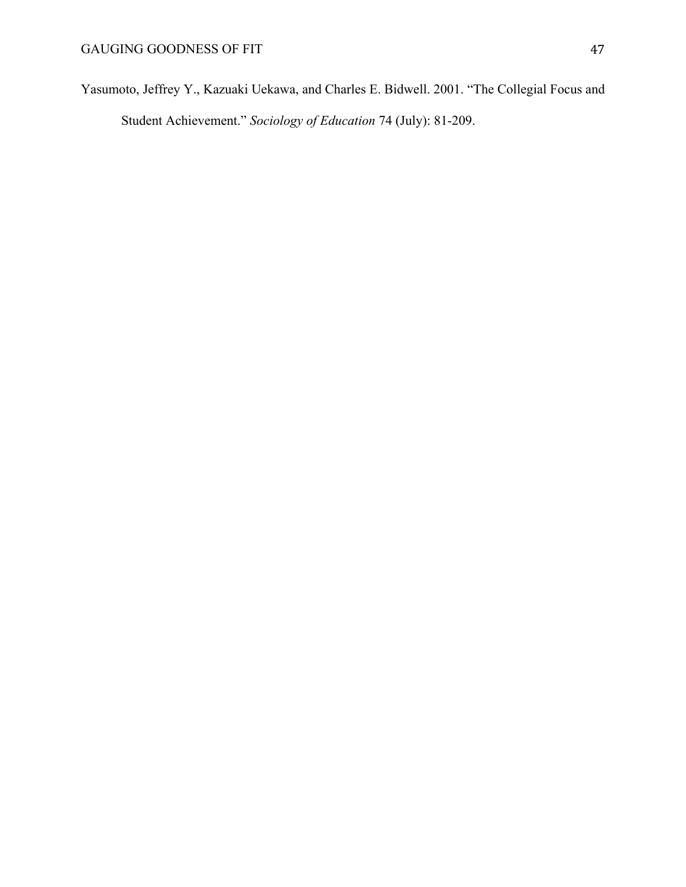Yasumoto, Jeffrey Y., Kazuaki Uekawa, and Charles E. Bidwell. 2001. "The Collegial Focus and Student Achievement." *Sociology of Education* 74 (July): 81-209.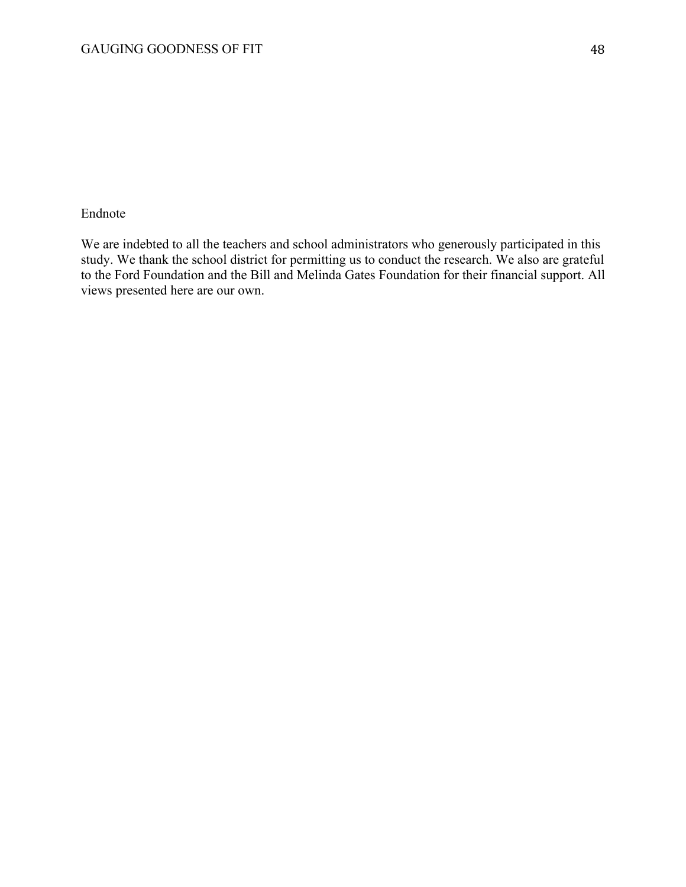# Endnote

We are indebted to all the teachers and school administrators who generously participated in this study. We thank the school district for permitting us to conduct the research. We also are grateful to the Ford Foundation and the Bill and Melinda Gates Foundation for their financial support. All views presented here are our own.